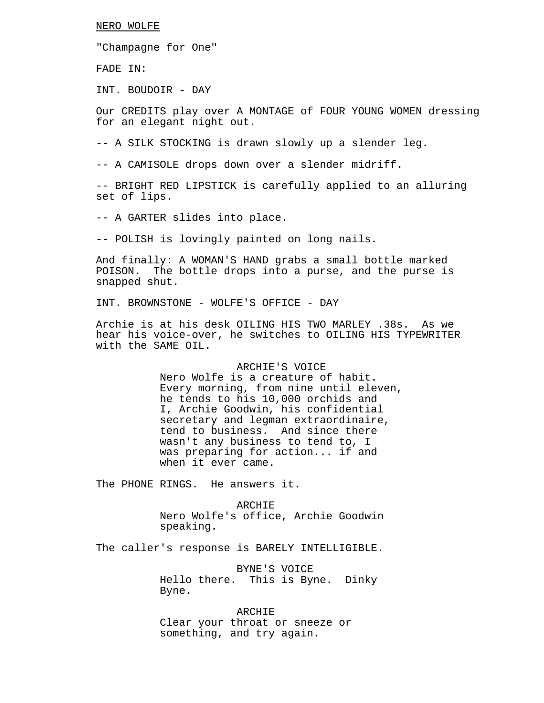#### NERO WOLFE

"Champagne for One"

FADE IN:

INT. BOUDOIR - DAY

Our CREDITS play over A MONTAGE of FOUR YOUNG WOMEN dressing for an elegant night out.

-- A SILK STOCKING is drawn slowly up a slender leg.

-- A CAMISOLE drops down over a slender midriff.

-- BRIGHT RED LIPSTICK is carefully applied to an alluring set of lips.

-- A GARTER slides into place.

-- POLISH is lovingly painted on long nails.

And finally: A WOMAN'S HAND grabs a small bottle marked POISON. The bottle drops into a purse, and the purse is snapped shut.

INT. BROWNSTONE - WOLFE'S OFFICE - DAY

Archie is at his desk OILING HIS TWO MARLEY .38s. As we hear his voice-over, he switches to OILING HIS TYPEWRITER with the SAME OIL.

# ARCHIE'S VOICE

Nero Wolfe is a creature of habit. Every morning, from nine until eleven, he tends to his 10,000 orchids and I, Archie Goodwin, his confidential secretary and legman extraordinaire, tend to business. And since there wasn't any business to tend to, I was preparing for action... if and when it ever came.

The PHONE RINGS. He answers it.

ARCHIE

Nero Wolfe's office, Archie Goodwin speaking.

The caller's response is BARELY INTELLIGIBLE.

BYNE'S VOICE Hello there. This is Byne. Dinky Byne.

ARCHIE Clear your throat or sneeze or something, and try again.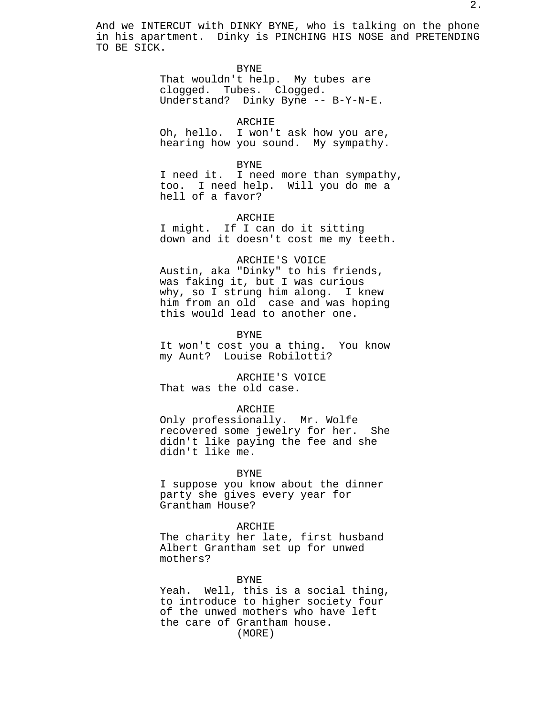And we INTERCUT with DINKY BYNE, who is talking on the phone in his apartment. Dinky is PINCHING HIS NOSE and PRETENDING TO BE SICK.

BYNE

That wouldn't help. My tubes are clogged. Tubes. Clogged. Understand? Dinky Byne -- B-Y-N-E.

ARCHIE Oh, hello. I won't ask how you are, hearing how you sound. My sympathy.

BYNE I need it. I need more than sympathy, too. I need help. Will you do me a hell of a favor?

# ARCHIE

I might. If I can do it sitting down and it doesn't cost me my teeth.

# ARCHIE'S VOICE

Austin, aka "Dinky" to his friends, was faking it, but I was curious why, so I strung him along. I knew him from an old case and was hoping this would lead to another one.

BYNE

It won't cost you a thing. You know my Aunt? Louise Robilotti?

ARCHIE'S VOICE That was the old case.

# ARCHIE

Only professionally. Mr. Wolfe recovered some jewelry for her. She didn't like paying the fee and she didn't like me.

# BYNE

I suppose you know about the dinner party she gives every year for Grantham House?

# ARCHIE

The charity her late, first husband Albert Grantham set up for unwed mothers?

#### BYNE

Yeah. Well, this is a social thing, to introduce to higher society four of the unwed mothers who have left the care of Grantham house. (MORE)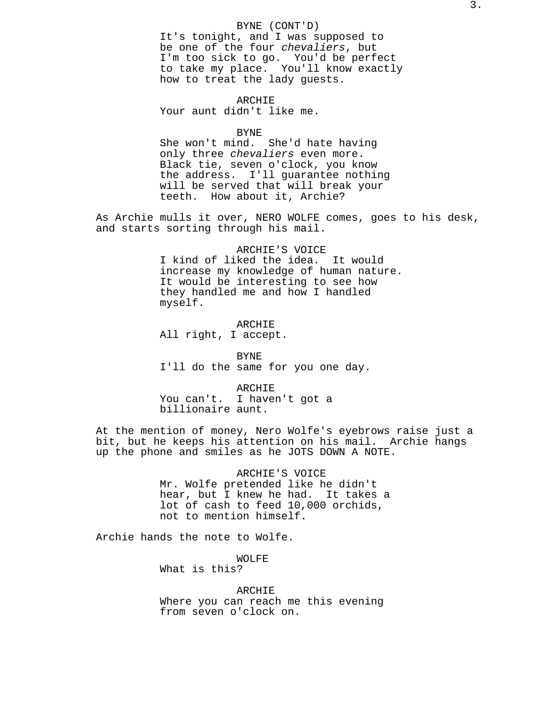# BYNE (CONT'D)

It's tonight, and I was supposed to be one of the four chevaliers, but I'm too sick to go. You'd be perfect to take my place. You'll know exactly how to treat the lady guests.

ARCHIE Your aunt didn't like me.

BYNE

She won't mind. She'd hate having only three chevaliers even more. Black tie, seven o'clock, you know the address. I'll guarantee nothing will be served that will break your teeth. How about it, Archie?

As Archie mulls it over, NERO WOLFE comes, goes to his desk, and starts sorting through his mail.

> ARCHIE'S VOICE I kind of liked the idea. It would increase my knowledge of human nature. It would be interesting to see how they handled me and how I handled myself.

ARCHIE All right, I accept.

BYNE I'll do the same for you one day.

ARCHIE You can't. I haven't got a billionaire aunt.

At the mention of money, Nero Wolfe's eyebrows raise just a bit, but he keeps his attention on his mail. Archie hangs up the phone and smiles as he JOTS DOWN A NOTE.

> ARCHIE'S VOICE Mr. Wolfe pretended like he didn't hear, but I knew he had. It takes a lot of cash to feed 10,000 orchids, not to mention himself.

Archie hands the note to Wolfe.

WOLFE What is this?

ARCHIE Where you can reach me this evening from seven o'clock on.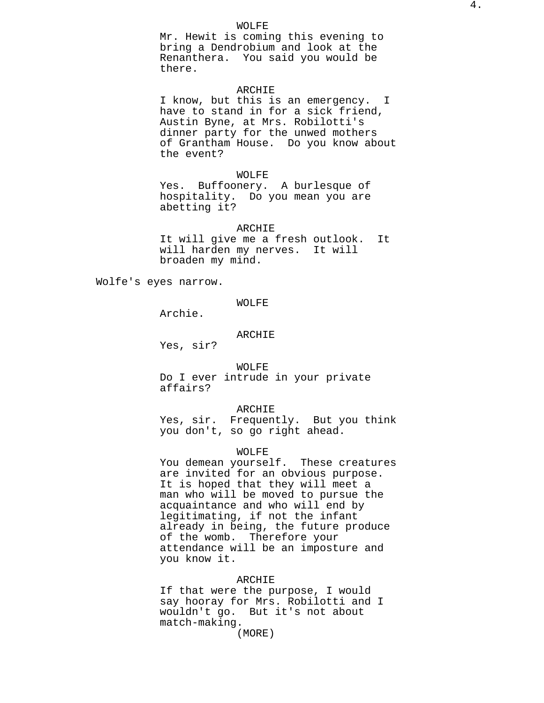Mr. Hewit is coming this evening to bring a Dendrobium and look at the Renanthera. You said you would be there.

# ARCHIE

I know, but this is an emergency. I have to stand in for a sick friend, Austin Byne, at Mrs. Robilotti's dinner party for the unwed mothers of Grantham House. Do you know about the event?

# WOLFE

Yes. Buffoonery. A burlesque of hospitality. Do you mean you are abetting it?

ARCHIE

It will give me a fresh outlook. It will harden my nerves. It will broaden my mind.

Wolfe's eyes narrow.

# WOLFE

Archie.

# ARCHIE

Yes, sir?

WOLFE Do I ever intrude in your private affairs?

# ARCHIE

Yes, sir. Frequently. But you think you don't, so go right ahead.

#### WOLFE

You demean yourself. These creatures are invited for an obvious purpose. It is hoped that they will meet a man who will be moved to pursue the acquaintance and who will end by legitimating, if not the infant already in being, the future produce of the womb. Therefore your attendance will be an imposture and you know it.

# ARCHIE

If that were the purpose, I would say hooray for Mrs. Robilotti and I wouldn't go. But it's not about match-making.

(MORE)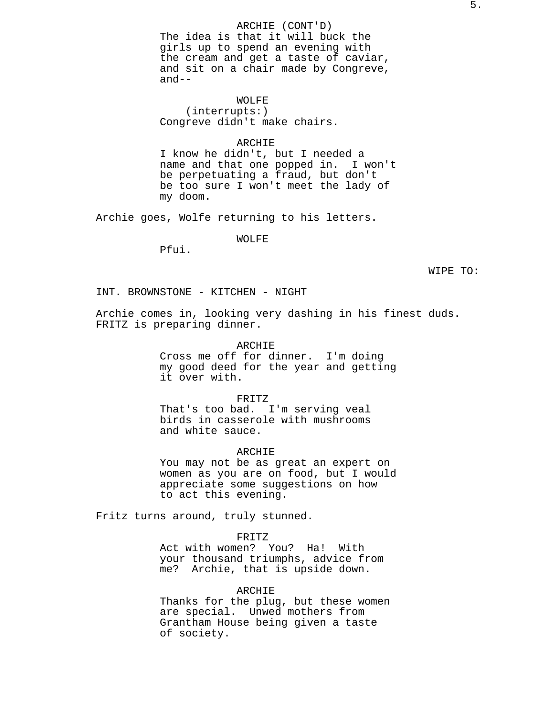ARCHIE (CONT'D) The idea is that it will buck the girls up to spend an evening with the cream and get a taste of caviar, and sit on a chair made by Congreve, and--

WOLFE (interrupts:) Congreve didn't make chairs.

#### ARCHIE

I know he didn't, but I needed a name and that one popped in. I won't be perpetuating a fraud, but don't be too sure I won't meet the lady of my doom.

Archie goes, Wolfe returning to his letters.

# WOLFE

Pfui.

WIPE TO:

INT. BROWNSTONE - KITCHEN - NIGHT

Archie comes in, looking very dashing in his finest duds. FRITZ is preparing dinner.

> ARCHIE Cross me off for dinner. I'm doing my good deed for the year and getting it over with.

FRITZ That's too bad. I'm serving veal birds in casserole with mushrooms and white sauce.

## ARCHIE

You may not be as great an expert on women as you are on food, but I would appreciate some suggestions on how to act this evening.

Fritz turns around, truly stunned.

# FRITZ

Act with women? You? Ha! With your thousand triumphs, advice from me? Archie, that is upside down.

# ARCHIE

Thanks for the plug, but these women are special. Unwed mothers from Grantham House being given a taste of society.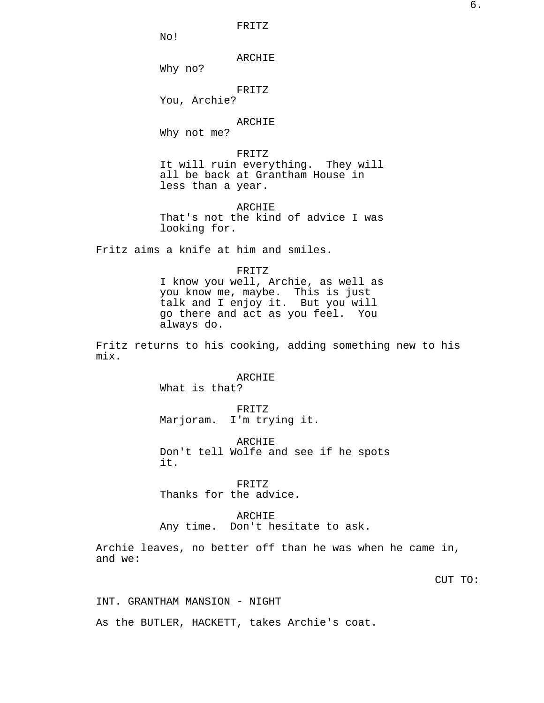6.

FRITZ

No!

ARCHIE

Why no?

FRITZ

You, Archie?

# ARCHIE

Why not me?

# FRITZ

It will ruin everything. They will all be back at Grantham House in less than a year.

ARCHIE That's not the kind of advice I was looking for.

Fritz aims a knife at him and smiles.

### FRITZ

I know you well, Archie, as well as you know me, maybe. This is just talk and I enjoy it. But you will go there and act as you feel. You always do.

Fritz returns to his cooking, adding something new to his mix.

## ARCHIE

What is that?

FRITZ Marjoram. I'm trying it.

ARCHIE Don't tell Wolfe and see if he spots it.

FRITZ Thanks for the advice.

# ARCHIE

Any time. Don't hesitate to ask.

Archie leaves, no better off than he was when he came in, and we:

CUT TO:

INT. GRANTHAM MANSION - NIGHT

As the BUTLER, HACKETT, takes Archie's coat.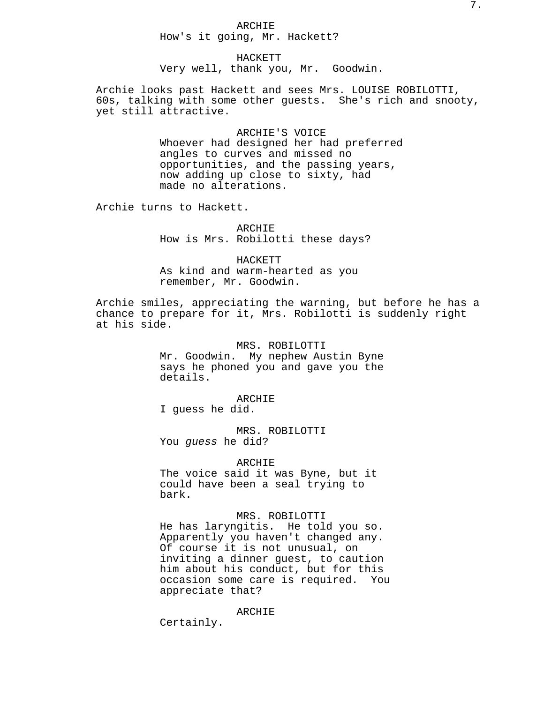# ARCHIE How's it going, Mr. Hackett?

HACKETT Very well, thank you, Mr. Goodwin.

Archie looks past Hackett and sees Mrs. LOUISE ROBILOTTI, 60s, talking with some other guests. She's rich and snooty, yet still attractive.

> ARCHIE'S VOICE Whoever had designed her had preferred angles to curves and missed no opportunities, and the passing years, now adding up close to sixty, had made no alterations.

Archie turns to Hackett.

ARCHIE How is Mrs. Robilotti these days?

HACKETT As kind and warm-hearted as you remember, Mr. Goodwin.

Archie smiles, appreciating the warning, but before he has a chance to prepare for it, Mrs. Robilotti is suddenly right at his side.

> MRS. ROBILOTTI Mr. Goodwin. My nephew Austin Byne says he phoned you and gave you the details.

> > ARCHIE

I guess he did.

MRS. ROBILOTTI You guess he did?

ARCHIE The voice said it was Byne, but it could have been a seal trying to bark.

MRS. ROBILOTTI He has laryngitis. He told you so. Apparently you haven't changed any. Of course it is not unusual, on inviting a dinner guest, to caution him about his conduct, but for this occasion some care is required. You appreciate that?

ARCHIE

Certainly.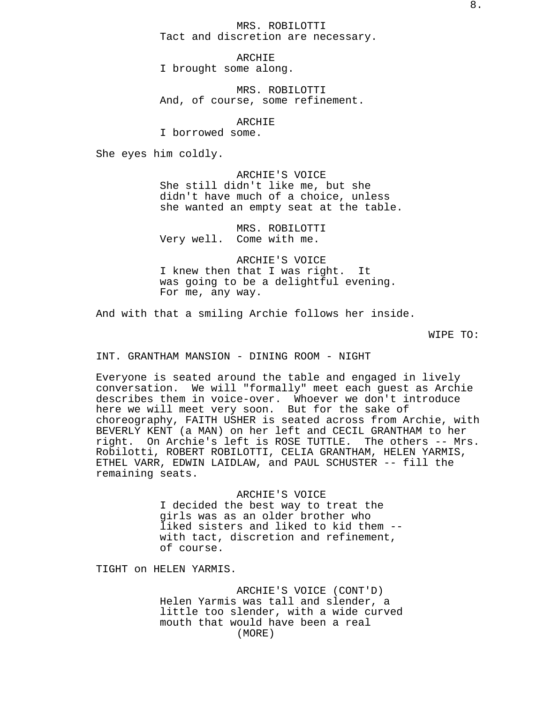ARCHIE I brought some along.

MRS. ROBILOTTI And, of course, some refinement.

ARCHIE

I borrowed some.

She eyes him coldly.

ARCHIE'S VOICE She still didn't like me, but she didn't have much of a choice, unless she wanted an empty seat at the table.

MRS. ROBILOTTI Very well. Come with me.

ARCHIE'S VOICE I knew then that I was right. It was going to be a delightful evening. For me, any way.

And with that a smiling Archie follows her inside.

WIPE TO:

INT. GRANTHAM MANSION - DINING ROOM - NIGHT

Everyone is seated around the table and engaged in lively conversation. We will "formally" meet each guest as Archie describes them in voice-over. Whoever we don't introduce here we will meet very soon. But for the sake of choreography, FAITH USHER is seated across from Archie, with BEVERLY KENT (a MAN) on her left and CECIL GRANTHAM to her right. On Archie's left is ROSE TUTTLE. The others -- Mrs. Robilotti, ROBERT ROBILOTTI, CELIA GRANTHAM, HELEN YARMIS, ETHEL VARR, EDWIN LAIDLAW, and PAUL SCHUSTER -- fill the remaining seats.

> ARCHIE'S VOICE I decided the best way to treat the girls was as an older brother who liked sisters and liked to kid them - with tact, discretion and refinement, of course.

TIGHT on HELEN YARMIS.

ARCHIE'S VOICE (CONT'D) Helen Yarmis was tall and slender, a little too slender, with a wide curved mouth that would have been a real (MORE)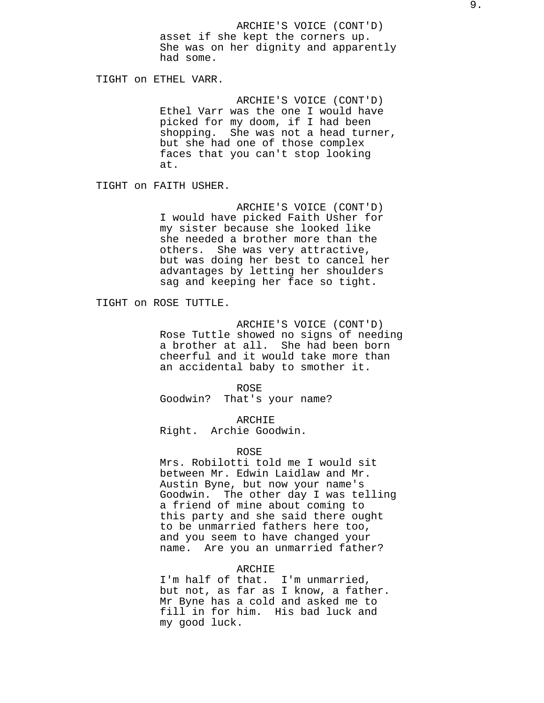ARCHIE'S VOICE (CONT'D) asset if she kept the corners up. She was on her dignity and apparently had some.

TIGHT on ETHEL VARR.

ARCHIE'S VOICE (CONT'D) Ethel Varr was the one I would have picked for my doom, if I had been shopping. She was not a head turner, but she had one of those complex faces that you can't stop looking at.

TIGHT on FAITH USHER.

ARCHIE'S VOICE (CONT'D) I would have picked Faith Usher for my sister because she looked like she needed a brother more than the others. She was very attractive, but was doing her best to cancel her advantages by letting her shoulders sag and keeping her face so tight.

TIGHT on ROSE TUTTLE.

ARCHIE'S VOICE (CONT'D) Rose Tuttle showed no signs of needing a brother at all. She had been born cheerful and it would take more than an accidental baby to smother it.

ROSE

Goodwin? That's your name?

ARCHIE

Right. Archie Goodwin.

#### ROSE

Mrs. Robilotti told me I would sit between Mr. Edwin Laidlaw and Mr. Austin Byne, but now your name's Goodwin. The other day I was telling a friend of mine about coming to this party and she said there ought to be unmarried fathers here too, and you seem to have changed your name. Are you an unmarried father?

# ARCHIE

I'm half of that. I'm unmarried, but not, as far as I know, a father. Mr Byne has a cold and asked me to fill in for him. His bad luck and my good luck.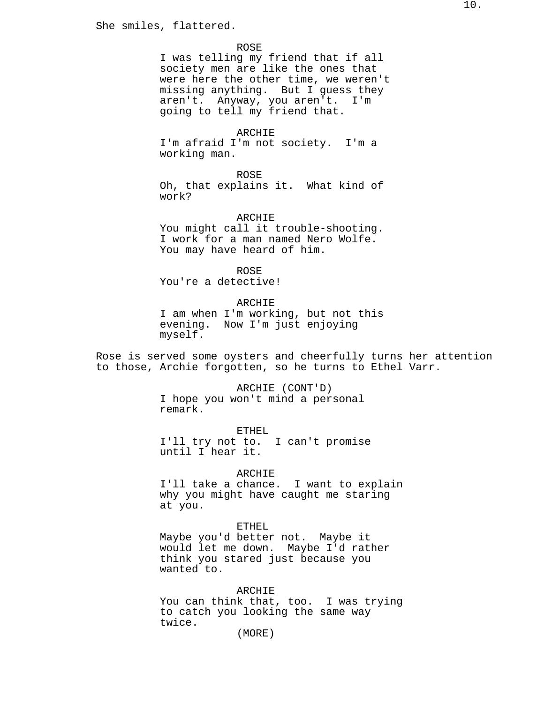She smiles, flattered.

#### ROSE

I was telling my friend that if all society men are like the ones that were here the other time, we weren't missing anything. But I guess they aren't. Anyway, you aren't. I'm going to tell my friend that.

### ARCHIE

I'm afraid I'm not society. I'm a working man.

ROSE

Oh, that explains it. What kind of work?

ARCHIE

You might call it trouble-shooting. I work for a man named Nero Wolfe. You may have heard of him.

ROSE You're a detective!

ARCHIE I am when I'm working, but not this evening. Now I'm just enjoying myself.

Rose is served some oysters and cheerfully turns her attention to those, Archie forgotten, so he turns to Ethel Varr.

> ARCHIE (CONT'D) I hope you won't mind a personal remark.

ETHEL I'll try not to. I can't promise until I hear it.

### ARCHIE

I'll take a chance. I want to explain why you might have caught me staring at you.

# ETHEL

Maybe you'd better not. Maybe it would let me down. Maybe I'd rather think you stared just because you wanted to.

ARCHIE

You can think that, too. I was trying to catch you looking the same way twice.

(MORE)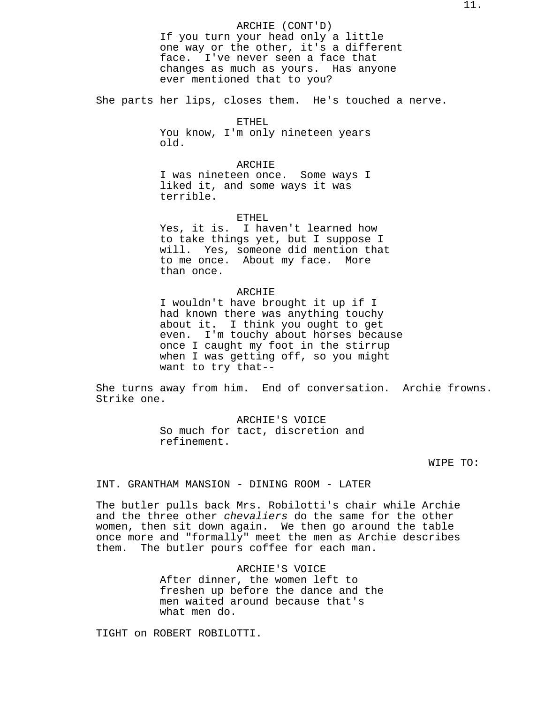ARCHIE (CONT'D) If you turn your head only a little one way or the other, it's a different face. I've never seen a face that changes as much as yours. Has anyone ever mentioned that to you?

She parts her lips, closes them. He's touched a nerve.

# ETHEL

You know, I'm only nineteen years old.

# ARCHIE

I was nineteen once. Some ways I liked it, and some ways it was terrible.

# ETHEL

Yes, it is. I haven't learned how to take things yet, but I suppose I will. Yes, someone did mention that to me once. About my face. More than once.

# ARCHIE

I wouldn't have brought it up if I had known there was anything touchy about it. I think you ought to get even. I'm touchy about horses because once I caught my foot in the stirrup when I was getting off, so you might want to try that--

She turns away from him. End of conversation. Archie frowns. Strike one.

> ARCHIE'S VOICE So much for tact, discretion and refinement.

# WIPE TO:

INT. GRANTHAM MANSION - DINING ROOM - LATER

The butler pulls back Mrs. Robilotti's chair while Archie and the three other *chevaliers* do the same for the other women, then sit down again. We then go around the table once more and "formally" meet the men as Archie describes them. The butler pours coffee for each man.

> ARCHIE'S VOICE After dinner, the women left to freshen up before the dance and the men waited around because that's what men do.

TIGHT on ROBERT ROBILOTTI.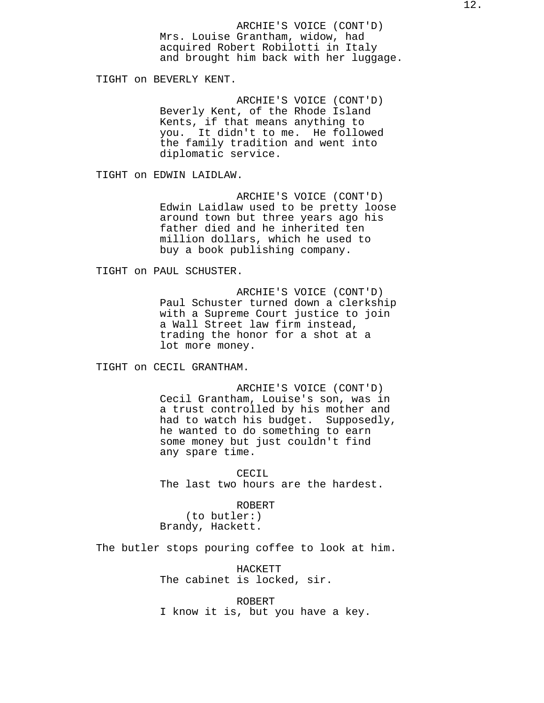ARCHIE'S VOICE (CONT'D) Mrs. Louise Grantham, widow, had acquired Robert Robilotti in Italy and brought him back with her luggage.

TIGHT on BEVERLY KENT.

ARCHIE'S VOICE (CONT'D) Beverly Kent, of the Rhode Island Kents, if that means anything to you. It didn't to me. He followed the family tradition and went into diplomatic service.

TIGHT on EDWIN LAIDLAW.

ARCHIE'S VOICE (CONT'D) Edwin Laidlaw used to be pretty loose around town but three years ago his father died and he inherited ten million dollars, which he used to buy a book publishing company.

TIGHT on PAUL SCHUSTER.

ARCHIE'S VOICE (CONT'D) Paul Schuster turned down a clerkship with a Supreme Court justice to join a Wall Street law firm instead, trading the honor for a shot at a lot more money.

TIGHT on CECIL GRANTHAM.

ARCHIE'S VOICE (CONT'D) Cecil Grantham, Louise's son, was in a trust controlled by his mother and had to watch his budget. Supposedly, he wanted to do something to earn some money but just couldn't find any spare time.

CECIL The last two hours are the hardest.

ROBERT

(to butler:) Brandy, Hackett.

The butler stops pouring coffee to look at him.

HACKETT The cabinet is locked, sir.

ROBERT I know it is, but you have a key.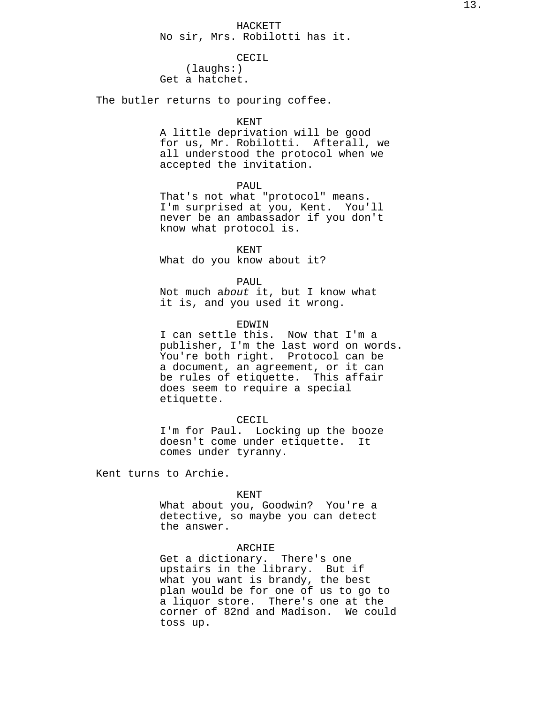# CECIL

(laughs:) Get a hatchet.

The butler returns to pouring coffee.

#### KENT

A little deprivation will be good for us, Mr. Robilotti. Afterall, we all understood the protocol when we accepted the invitation.

# PAUL

That's not what "protocol" means. I'm surprised at you, Kent. You'll never be an ambassador if you don't know what protocol is.

KENT What do you know about it?

PAUL

Not much about it, but I know what it is, and you used it wrong.

### EDWIN

I can settle this. Now that I'm a publisher, I'm the last word on words. You're both right. Protocol can be a document, an agreement, or it can be rules of etiquette. This affair does seem to require a special etiquette.

CECIL

I'm for Paul. Locking up the booze doesn't come under etiquette. It comes under tyranny.

Kent turns to Archie.

#### KENT

What about you, Goodwin? You're a detective, so maybe you can detect the answer.

### ARCHIE

Get a dictionary. There's one upstairs in the library. But if what you want is brandy, the best plan would be for one of us to go to a liquor store. There's one at the corner of 82nd and Madison. We could toss up.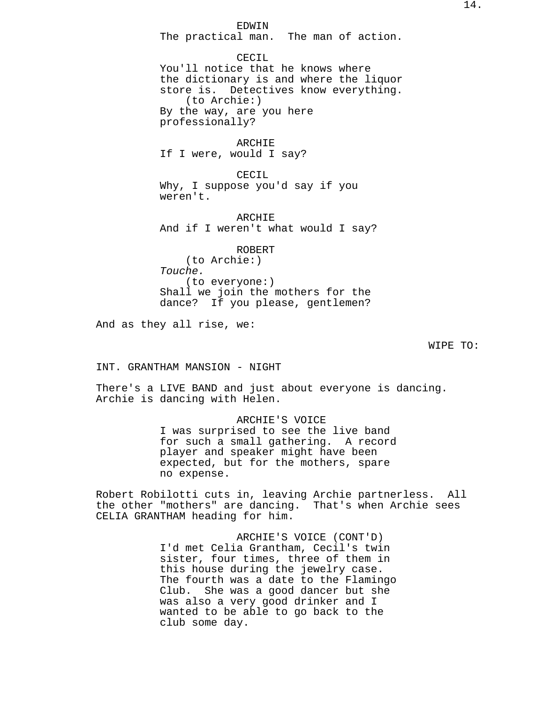EDWIN

The practical man. The man of action.

CECIL You'll notice that he knows where the dictionary is and where the liquor store is. Detectives know everything. (to Archie:) By the way, are you here professionally?

ARCHIE If I were, would I say?

CECIL Why, I suppose you'd say if you weren't.

ARCHIE And if I weren't what would I say?

ROBERT (to Archie:) Touche. (to everyone:) Shall we join the mothers for the dance? If you please, gentlemen?

And as they all rise, we:

WIPE TO:

INT. GRANTHAM MANSION - NIGHT

There's a LIVE BAND and just about everyone is dancing. Archie is dancing with Helen.

> ARCHIE'S VOICE I was surprised to see the live band for such a small gathering. A record player and speaker might have been expected, but for the mothers, spare no expense.

Robert Robilotti cuts in, leaving Archie partnerless. All the other "mothers" are dancing. That's when Archie sees CELIA GRANTHAM heading for him.

> ARCHIE'S VOICE (CONT'D) I'd met Celia Grantham, Cecil's twin sister, four times, three of them in this house during the jewelry case. The fourth was a date to the Flamingo Club. She was a good dancer but she was also a very good drinker and I wanted to be able to go back to the club some day.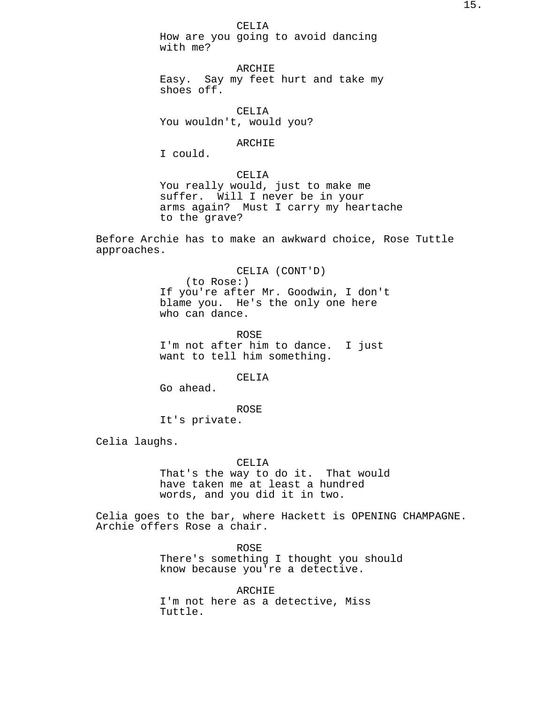How are you going to avoid dancing with me?

ARCHIE Easy. Say my feet hurt and take my shoes off.

CELIA You wouldn't, would you?

# ARCHIE

I could.

# CELIA

You really would, just to make me suffer. Will I never be in your arms again? Must I carry my heartache to the grave?

Before Archie has to make an awkward choice, Rose Tuttle approaches.

> CELIA (CONT'D) (to Rose:) If you're after Mr. Goodwin, I don't blame you. He's the only one here who can dance.

ROSE I'm not after him to dance. I just want to tell him something.

CELIA

Go ahead.

ROSE It's private.

Celia laughs.

# CELIA

That's the way to do it. That would have taken me at least a hundred words, and you did it in two.

Celia goes to the bar, where Hackett is OPENING CHAMPAGNE. Archie offers Rose a chair.

> ROSE There's something I thought you should know because you're a detective.

ARCHIE I'm not here as a detective, Miss Tuttle.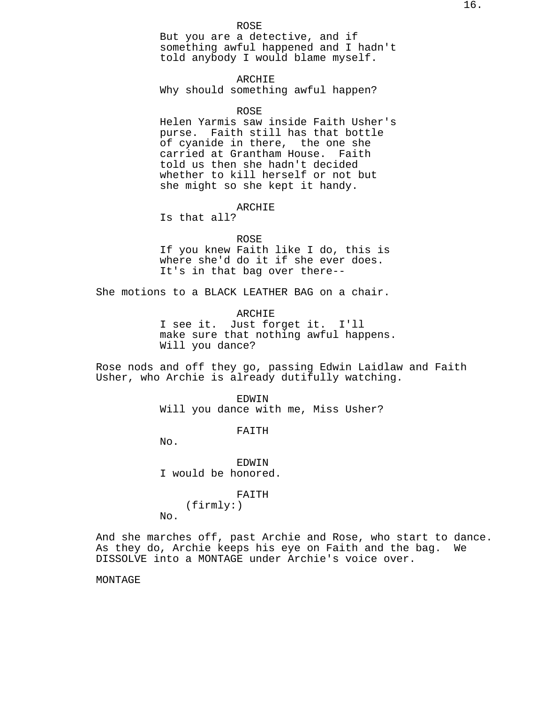ARCHIE Why should something awful happen?

ROSE

Helen Yarmis saw inside Faith Usher's purse. Faith still has that bottle of cyanide in there, the one she carried at Grantham House. Faith told us then she hadn't decided whether to kill herself or not but she might so she kept it handy.

# ARCHIE

Is that all?

#### ROSE

If you knew Faith like I do, this is where she'd do it if she ever does. It's in that bag over there--

She motions to a BLACK LEATHER BAG on a chair.

ARCHIE I see it. Just forget it. I'll make sure that nothing awful happens. Will you dance?

Rose nods and off they go, passing Edwin Laidlaw and Faith Usher, who Archie is already dutifully watching.

> EDWIN Will you dance with me, Miss Usher?

> > FAITH

No.

No.

**EDWIN** I would be honored.

FAITH

(firmly:)

And she marches off, past Archie and Rose, who start to dance. As they do, Archie keeps his eye on Faith and the bag. We DISSOLVE into a MONTAGE under Archie's voice over.

MONTAGE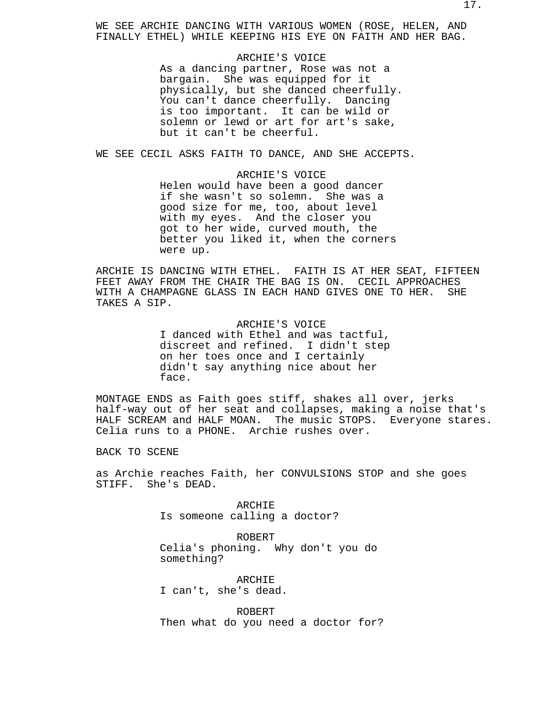WE SEE ARCHIE DANCING WITH VARIOUS WOMEN (ROSE, HELEN, AND FINALLY ETHEL) WHILE KEEPING HIS EYE ON FAITH AND HER BAG.

### ARCHIE'S VOICE

As a dancing partner, Rose was not a bargain. She was equipped for it physically, but she danced cheerfully. You can't dance cheerfully. Dancing is too important. It can be wild or solemn or lewd or art for art's sake, but it can't be cheerful.

WE SEE CECIL ASKS FAITH TO DANCE, AND SHE ACCEPTS.

# ARCHIE'S VOICE Helen would have been a good dancer if she wasn't so solemn. She was a good size for me, too, about level with my eyes. And the closer you got to her wide, curved mouth, the better you liked it, when the corners were up.

ARCHIE IS DANCING WITH ETHEL. FAITH IS AT HER SEAT, FIFTEEN FEET AWAY FROM THE CHAIR THE BAG IS ON. CECIL APPROACHES WITH A CHAMPAGNE GLASS IN EACH HAND GIVES ONE TO HER. SHE TAKES A SIP.

> ARCHIE'S VOICE I danced with Ethel and was tactful, discreet and refined. I didn't step on her toes once and I certainly didn't say anything nice about her face.

MONTAGE ENDS as Faith goes stiff, shakes all over, jerks half-way out of her seat and collapses, making a noise that's HALF SCREAM and HALF MOAN. The music STOPS. Everyone stares. Celia runs to a PHONE. Archie rushes over.

BACK TO SCENE

as Archie reaches Faith, her CONVULSIONS STOP and she goes STIFF. She's DEAD.

> ARCHIE Is someone calling a doctor?

ROBERT Celia's phoning. Why don't you do something?

ARCHIE I can't, she's dead.

ROBERT Then what do you need a doctor for?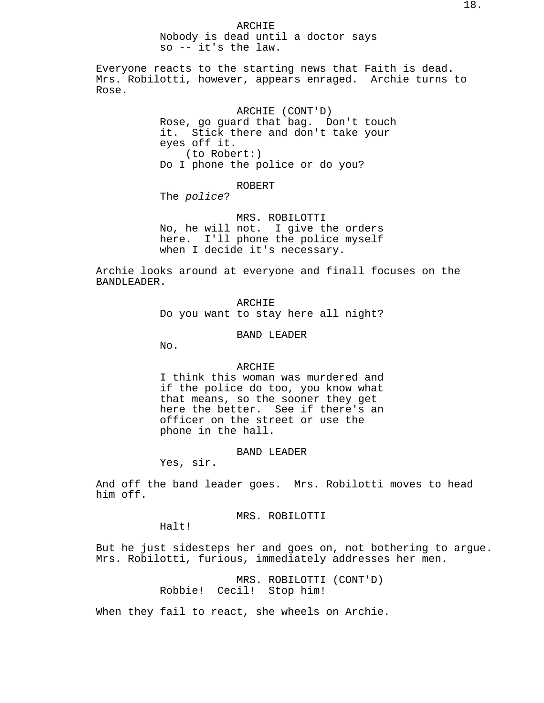ARCHIE Nobody is dead until a doctor says so -- it's the law.

Everyone reacts to the starting news that Faith is dead. Mrs. Robilotti, however, appears enraged. Archie turns to Rose.

> ARCHIE (CONT'D) Rose, go guard that bag. Don't touch it. Stick there and don't take your eyes off it. (to Robert:) Do I phone the police or do you?

> > ROBERT

The police?

MRS. ROBILOTTI No, he will not. I give the orders here. I'll phone the police myself when I decide it's necessary.

Archie looks around at everyone and finall focuses on the BANDLEADER.

> ARCHIE Do you want to stay here all night?

> > BAND LEADER

No.

## ARCHIE

I think this woman was murdered and if the police do too, you know what that means, so the sooner they get here the better. See if there's an officer on the street or use the phone in the hall.

#### BAND LEADER

Yes, sir.

And off the band leader goes. Mrs. Robilotti moves to head him off.

# MRS. ROBILOTTI

Halt!

But he just sidesteps her and goes on, not bothering to argue. Mrs. Robilotti, furious, immediately addresses her men.

> MRS. ROBILOTTI (CONT'D) Robbie! Cecil! Stop him!

When they fail to react, she wheels on Archie.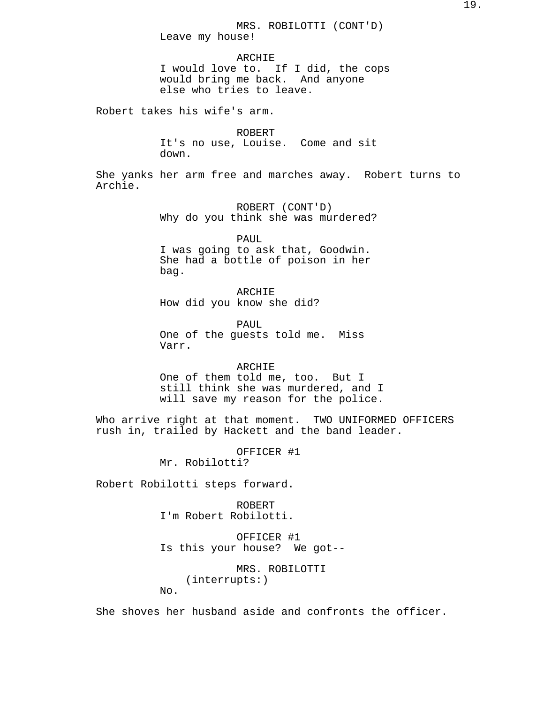ARCHIE I would love to. If I did, the cops would bring me back. And anyone else who tries to leave.

Robert takes his wife's arm.

ROBERT It's no use, Louise. Come and sit down.

She yanks her arm free and marches away. Robert turns to Archie.

> ROBERT (CONT'D) Why do you think she was murdered?

PAUL I was going to ask that, Goodwin. She had a bottle of poison in her bag.

ARCHIE How did you know she did?

PAUL One of the guests told me. Miss Varr.

ARCHIE One of them told me, too. But I still think she was murdered, and I will save my reason for the police.

Who arrive right at that moment. TWO UNIFORMED OFFICERS rush in, trailed by Hackett and the band leader.

OFFICER #1

Mr. Robilotti?

Robert Robilotti steps forward.

ROBERT I'm Robert Robilotti.

OFFICER #1 Is this your house? We got--

MRS. ROBILOTTI (interrupts:) No.

She shoves her husband aside and confronts the officer.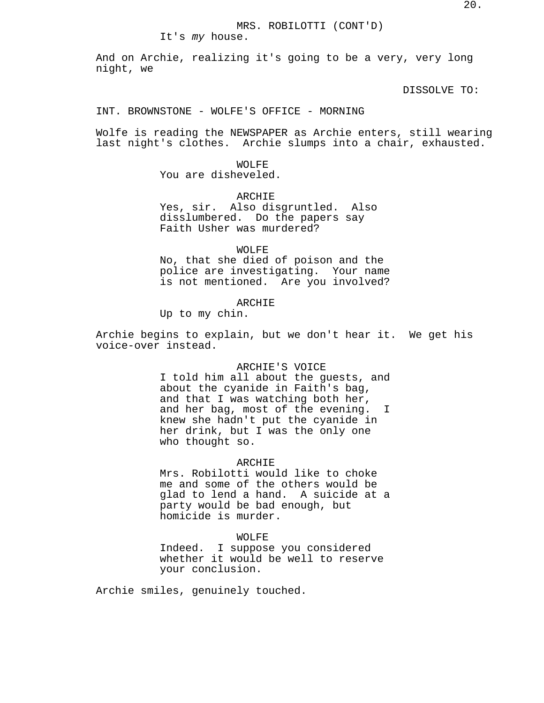# MRS. ROBILOTTI (CONT'D)

It's my house.

And on Archie, realizing it's going to be a very, very long night, we

DISSOLVE TO:

### INT. BROWNSTONE - WOLFE'S OFFICE - MORNING

Wolfe is reading the NEWSPAPER as Archie enters, still wearing last night's clothes. Archie slumps into a chair, exhausted.

> WOLFE. You are disheveled.

ARCHIE Yes, sir. Also disgruntled. Also disslumbered. Do the papers say Faith Usher was murdered?

WOLFE No, that she died of poison and the police are investigating. Your name is not mentioned. Are you involved?

# ARCHIE

Up to my chin.

Archie begins to explain, but we don't hear it. We get his voice-over instead.

# ARCHIE'S VOICE

I told him all about the guests, and about the cyanide in Faith's bag, and that I was watching both her, and her bag, most of the evening. I knew she hadn't put the cyanide in her drink, but I was the only one who thought so.

### ARCHIE

Mrs. Robilotti would like to choke me and some of the others would be glad to lend a hand. A suicide at a party would be bad enough, but homicide is murder.

### WOLFE

Indeed. I suppose you considered whether it would be well to reserve your conclusion.

Archie smiles, genuinely touched.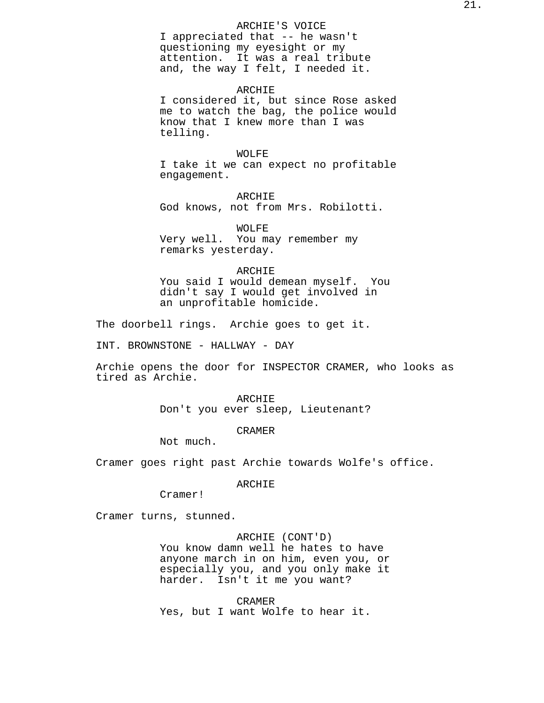# ARCHIE'S VOICE

I appreciated that -- he wasn't questioning my eyesight or my attention. It was a real tribute and, the way I felt, I needed it.

### ARCHIE

I considered it, but since Rose asked me to watch the bag, the police would know that I knew more than I was telling.

#### WOLFE

I take it we can expect no profitable engagement.

ARCHIE God knows, not from Mrs. Robilotti.

WOLFE Very well. You may remember my remarks yesterday.

### ARCHIE

You said I would demean myself. You didn't say I would get involved in an unprofitable homicide.

The doorbell rings. Archie goes to get it.

INT. BROWNSTONE - HALLWAY - DAY

Archie opens the door for INSPECTOR CRAMER, who looks as tired as Archie.

> ARCHIE Don't you ever sleep, Lieutenant?

> > CRAMER

Not much.

Cramer goes right past Archie towards Wolfe's office.

# ARCHIE

Cramer!

Cramer turns, stunned.

# ARCHIE (CONT'D)

You know damn well he hates to have anyone march in on him, even you, or especially you, and you only make it harder. Isn't it me you want?

CRAMER Yes, but I want Wolfe to hear it.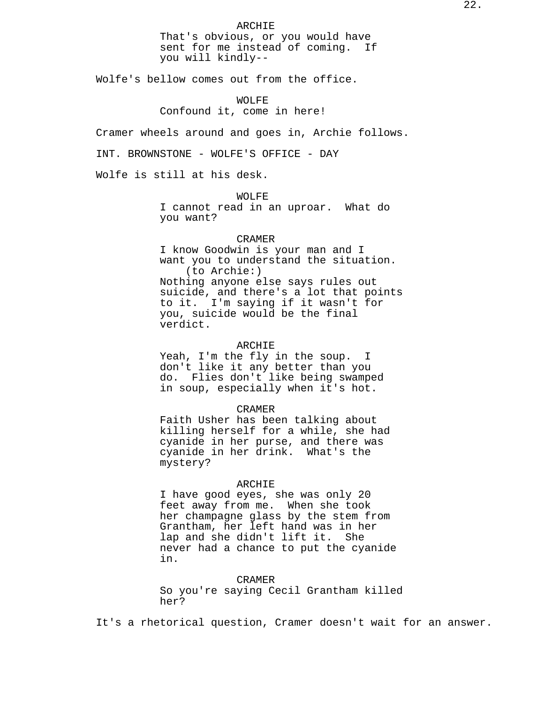ARCHIE That's obvious, or you would have sent for me instead of coming. If you will kindly--

Wolfe's bellow comes out from the office.

WOLFE Confound it, come in here!

Cramer wheels around and goes in, Archie follows.

INT. BROWNSTONE - WOLFE'S OFFICE - DAY

Wolfe is still at his desk.

WOLFE I cannot read in an uproar. What do you want?

# CRAMER

I know Goodwin is your man and I want you to understand the situation. (to Archie:) Nothing anyone else says rules out suicide, and there's a lot that points to it. I'm saying if it wasn't for you, suicide would be the final verdict.

## ARCHIE

Yeah, I'm the fly in the soup. I don't like it any better than you do. Flies don't like being swamped in soup, especially when it's hot.

#### CRAMER

Faith Usher has been talking about killing herself for a while, she had cyanide in her purse, and there was cyanide in her drink. What's the mystery?

#### ARCHIE

I have good eyes, she was only 20 feet away from me. When she took her champagne glass by the stem from Grantham, her left hand was in her lap and she didn't lift it. She never had a chance to put the cyanide in.

CRAMER

So you're saying Cecil Grantham killed her?

It's a rhetorical question, Cramer doesn't wait for an answer.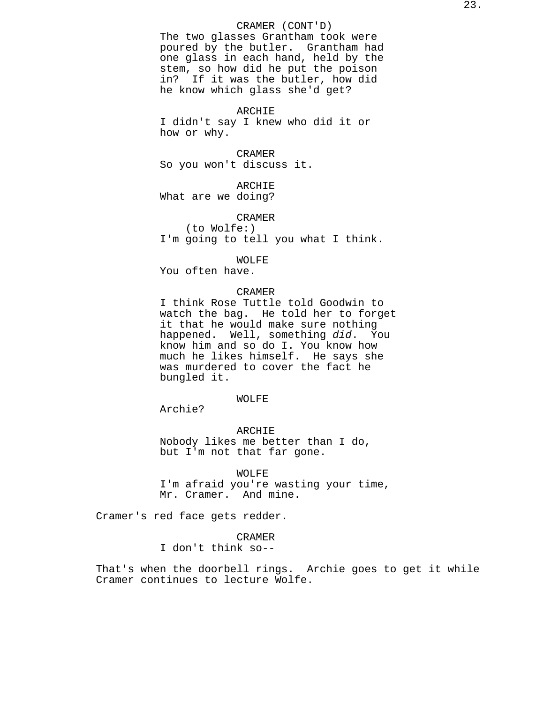# CRAMER (CONT'D)

The two glasses Grantham took were poured by the butler. Grantham had one glass in each hand, held by the stem, so how did he put the poison in? If it was the butler, how did he know which glass she'd get?

## ARCHIE

I didn't say I knew who did it or how or why.

#### CRAMER

So you won't discuss it.

# ARCHIE

What are we doing?

## CRAMER

(to Wolfe:) I'm going to tell you what I think.

#### WOLFE

You often have.

# CRAMER

I think Rose Tuttle told Goodwin to watch the bag. He told her to forget it that he would make sure nothing happened. Well, something did. You know him and so do I. You know how much he likes himself. He says she was murdered to cover the fact he bungled it.

## WOLFE

Archie?

ARCHIE Nobody likes me better than I do, but I'm not that far gone.

WOLFE I'm afraid you're wasting your time, Mr. Cramer. And mine.

Cramer's red face gets redder.

# CRAMER

I don't think so--

That's when the doorbell rings. Archie goes to get it while Cramer continues to lecture Wolfe.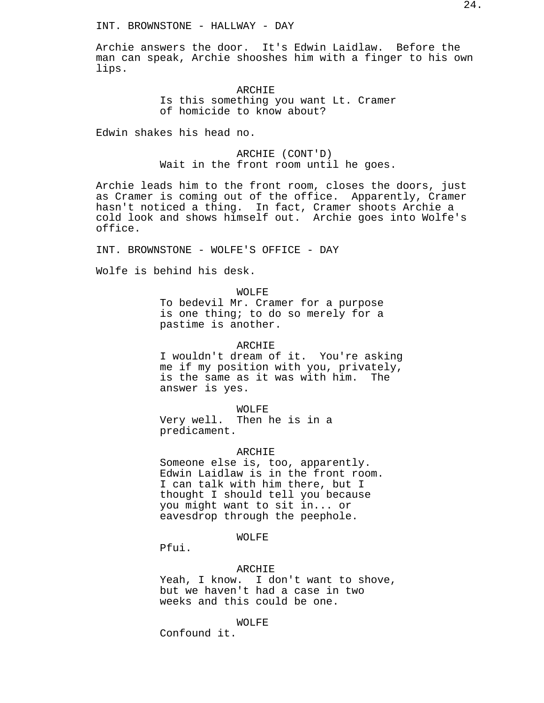Archie answers the door. It's Edwin Laidlaw. Before the man can speak, Archie shooshes him with a finger to his own lips.

# ARCHIE Is this something you want Lt. Cramer of homicide to know about?

Edwin shakes his head no.

ARCHIE (CONT'D) Wait in the front room until he goes.

Archie leads him to the front room, closes the doors, just as Cramer is coming out of the office. Apparently, Cramer hasn't noticed a thing. In fact, Cramer shoots Archie a cold look and shows himself out. Archie goes into Wolfe's office.

INT. BROWNSTONE - WOLFE'S OFFICE - DAY

Wolfe is behind his desk.

WOLFE

To bedevil Mr. Cramer for a purpose is one thing; to do so merely for a pastime is another.

ARCHIE

I wouldn't dream of it. You're asking me if my position with you, privately, is the same as it was with him. The answer is yes.

WOLFE Very well. Then he is in a predicament.

## ARCHIE

Someone else is, too, apparently. Edwin Laidlaw is in the front room. I can talk with him there, but I thought I should tell you because you might want to sit in... or eavesdrop through the peephole.

# WOLFE

Pfui.

### ARCHIE

Yeah, I know. I don't want to shove, but we haven't had a case in two weeks and this could be one.

WOLFE

Confound it.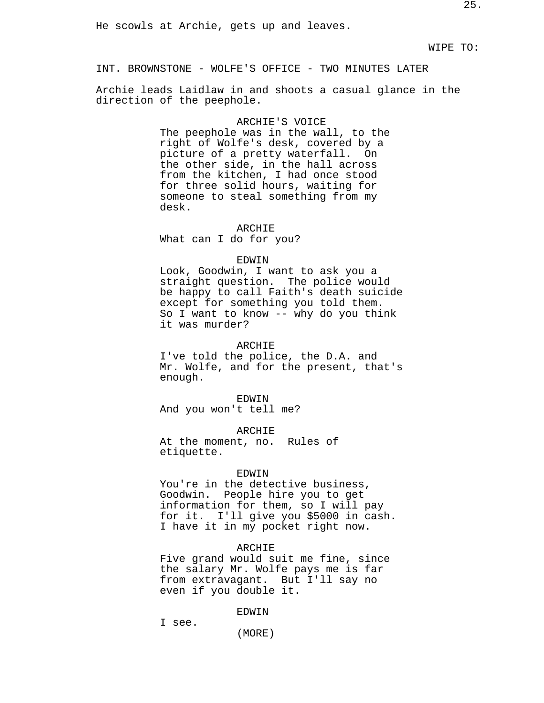INT. BROWNSTONE - WOLFE'S OFFICE - TWO MINUTES LATER

Archie leads Laidlaw in and shoots a casual glance in the direction of the peephole.

#### ARCHIE'S VOICE

The peephole was in the wall, to the right of Wolfe's desk, covered by a picture of a pretty waterfall. On the other side, in the hall across from the kitchen, I had once stood for three solid hours, waiting for someone to steal something from my desk.

## ARCHIE

What can I do for you?

#### EDWIN

Look, Goodwin, I want to ask you a straight question. The police would be happy to call Faith's death suicide except for something you told them. So I want to know -- why do you think it was murder?

### ARCHIE

I've told the police, the D.A. and Mr. Wolfe, and for the present, that's enough.

#### EDWIN

And you won't tell me?

ARCHIE At the moment, no. Rules of etiquette.

#### EDWIN

You're in the detective business, Goodwin. People hire you to get information for them, so I will pay for it. I'll give you \$5000 in cash. I have it in my pocket right now.

### ARCHIE

Five grand would suit me fine, since the salary Mr. Wolfe pays me is far from extravagant. But I'll say no even if you double it.

### EDWIN

I see.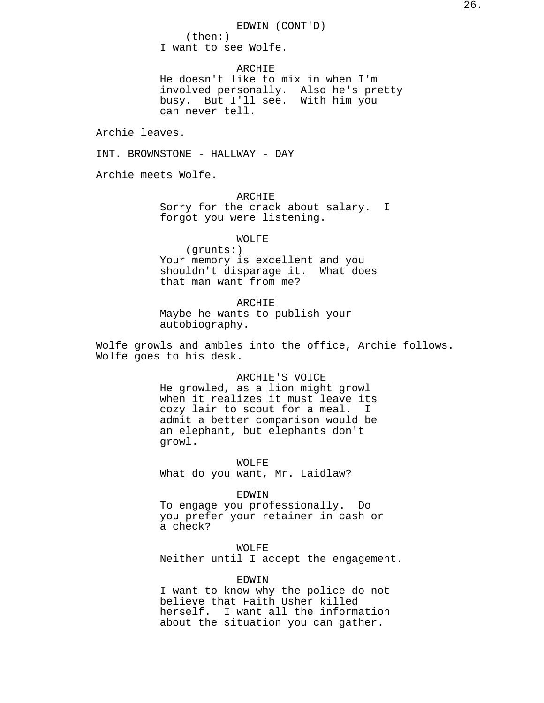**ARCHIE** He doesn't like to mix in when I'm involved personally. Also he's pretty busy. But I'll see. With him you can never tell.

Archie leaves.

INT. BROWNSTONE - HALLWAY - DAY

Archie meets Wolfe.

ARCHIE Sorry for the crack about salary. I forgot you were listening.

WOLFE

(grunts:) Your memory is excellent and you shouldn't disparage it. What does that man want from me?

ARCHIE Maybe he wants to publish your autobiography.

Wolfe growls and ambles into the office, Archie follows. Wolfe goes to his desk.

# ARCHIE'S VOICE He growled, as a lion might growl when it realizes it must leave its cozy lair to scout for a meal. I admit a better comparison would be an elephant, but elephants don't growl.

WOLFE What do you want, Mr. Laidlaw?

### EDWIN

To engage you professionally. Do you prefer your retainer in cash or a check?

WOLFE Neither until I accept the engagement.

EDWIN

I want to know why the police do not believe that Faith Usher killed herself. I want all the information about the situation you can gather.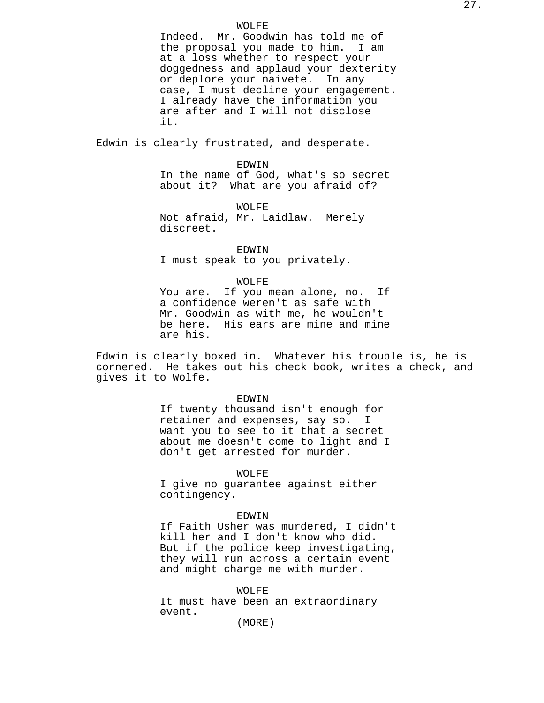#### WOLFE

Indeed. Mr. Goodwin has told me of the proposal you made to him. I am at a loss whether to respect your doggedness and applaud your dexterity or deplore your naivete. In any case, I must decline your engagement. I already have the information you are after and I will not disclose it.

Edwin is clearly frustrated, and desperate.

EDWIN In the name of God, what's so secret about it? What are you afraid of?

WOLFE Not afraid, Mr. Laidlaw. Merely discreet.

EDWIN I must speak to you privately.

#### WOLFE

You are. If you mean alone, no. If a confidence weren't as safe with Mr. Goodwin as with me, he wouldn't be here. His ears are mine and mine are his.

Edwin is clearly boxed in. Whatever his trouble is, he is cornered. He takes out his check book, writes a check, and gives it to Wolfe.

#### EDWIN

If twenty thousand isn't enough for retainer and expenses, say so. I want you to see to it that a secret about me doesn't come to light and I don't get arrested for murder.

### WOLFE

I give no guarantee against either contingency.

#### EDWIN

If Faith Usher was murdered, I didn't kill her and I don't know who did. But if the police keep investigating, they will run across a certain event and might charge me with murder.

WOLFE It must have been an extraordinary event.

(MORE)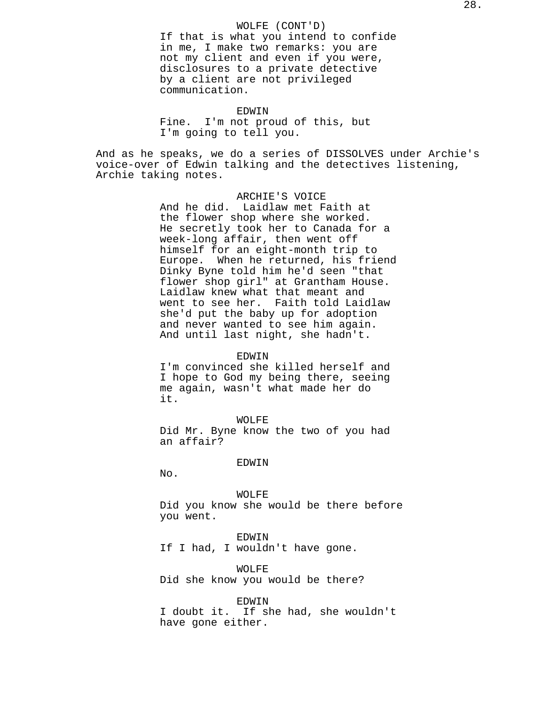# WOLFE (CONT'D)

If that is what you intend to confide in me, I make two remarks: you are not my client and even if you were, disclosures to a private detective by a client are not privileged communication.

EDWIN

Fine. I'm not proud of this, but I'm going to tell you.

And as he speaks, we do a series of DISSOLVES under Archie's voice-over of Edwin talking and the detectives listening, Archie taking notes.

> ARCHIE'S VOICE And he did. Laidlaw met Faith at the flower shop where she worked. He secretly took her to Canada for a week-long affair, then went off himself for an eight-month trip to Europe. When he returned, his friend Dinky Byne told him he'd seen "that flower shop girl" at Grantham House. Laidlaw knew what that meant and went to see her. Faith told Laidlaw she'd put the baby up for adoption and never wanted to see him again. And until last night, she hadn't.

## EDWIN

I'm convinced she killed herself and I hope to God my being there, seeing me again, wasn't what made her do it.

WOLFE

Did Mr. Byne know the two of you had an affair?

#### EDWIN

No.

#### WOLFE

Did you know she would be there before you went.

# EDWIN

If I had, I wouldn't have gone.

WOLFE

Did she know you would be there?

### EDWIN

I doubt it. If she had, she wouldn't have gone either.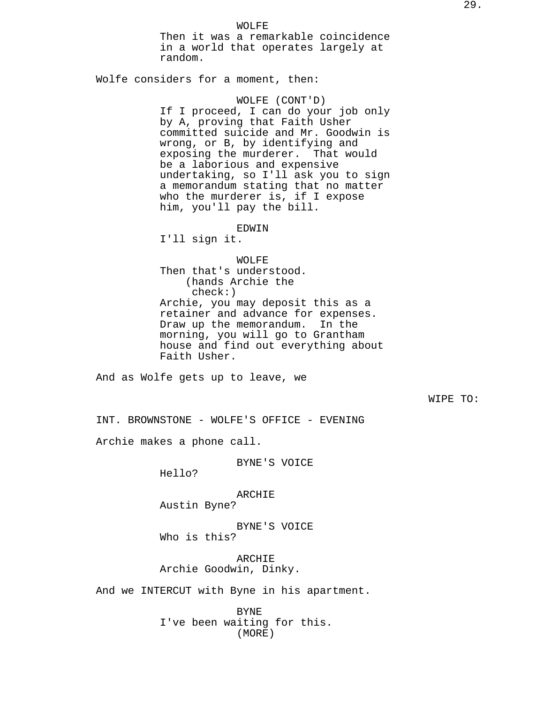WOLFE Then it was a remarkable coincidence in a world that operates largely at random.

Wolfe considers for a moment, then:

WOLFE (CONT'D) If I proceed, I can do your job only by A, proving that Faith Usher committed suicide and Mr. Goodwin is wrong, or B, by identifying and exposing the murderer. That would be a laborious and expensive undertaking, so I'll ask you to sign a memorandum stating that no matter who the murderer is, if I expose him, you'll pay the bill.

EDWIN

I'll sign it.

WOLFE

Then that's understood. (hands Archie the check:) Archie, you may deposit this as a retainer and advance for expenses. Draw up the memorandum. In the morning, you will go to Grantham house and find out everything about Faith Usher.

And as Wolfe gets up to leave, we

WIPE TO:

INT. BROWNSTONE - WOLFE'S OFFICE - EVENING

Archie makes a phone call.

BYNE'S VOICE

Hello?

ARCHIE

Austin Byne?

BYNE'S VOICE Who is this?

ARCHIE Archie Goodwin, Dinky.

And we INTERCUT with Byne in his apartment.

BYNE I've been waiting for this. (MORE)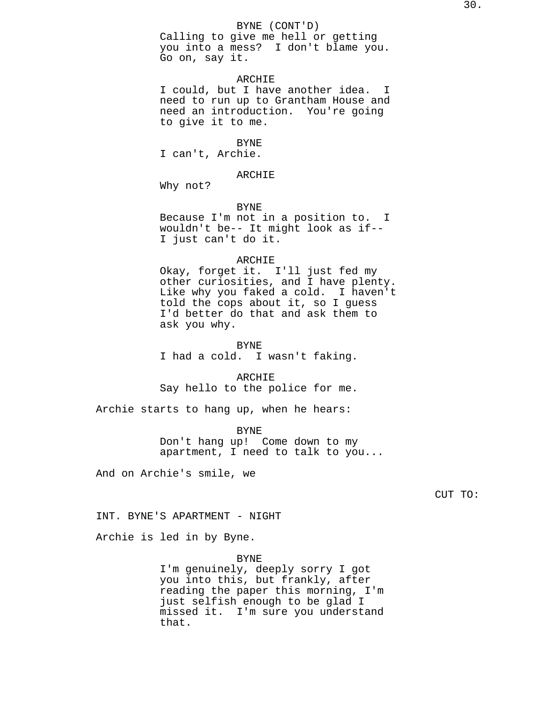Calling to give me hell or getting you into a mess? I don't blame you. Go on, say it.

# ARCHIE

I could, but I have another idea. I need to run up to Grantham House and need an introduction. You're going to give it to me.

### BYNE

I can't, Archie.

ARCHIE

Why not?

#### BYNE

Because I'm not in a position to. I wouldn't be-- It might look as if-- I just can't do it.

#### ARCHIE

Okay, forget it. I'll just fed my other curiosities, and I have plenty. Like why you faked a cold. I haven't told the cops about it, so I guess I'd better do that and ask them to ask you why.

BYNE I had a cold. I wasn't faking.

ARCHIE Say hello to the police for me.

Archie starts to hang up, when he hears:

BYNE Don't hang up! Come down to my apartment, I need to talk to you...

And on Archie's smile, we

CUT TO:

INT. BYNE'S APARTMENT - NIGHT

Archie is led in by Byne.

BYNE

I'm genuinely, deeply sorry I got you into this, but frankly, after reading the paper this morning, I'm just selfish enough to be glad I missed it. I'm sure you understand that.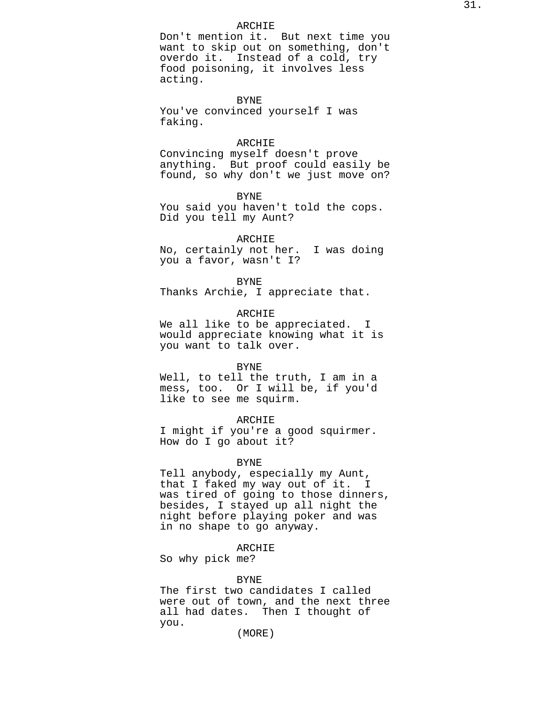### ARCHIE

Don't mention it. But next time you want to skip out on something, don't overdo it. Instead of a cold, try food poisoning, it involves less acting.

# BYNE

You've convinced yourself I was faking.

#### ARCHIE

Convincing myself doesn't prove anything. But proof could easily be found, so why don't we just move on?

BYNE

You said you haven't told the cops. Did you tell my Aunt?

# ARCHIE

No, certainly not her. I was doing you a favor, wasn't I?

### BYNE

Thanks Archie, I appreciate that.

# ARCHIE

We all like to be appreciated. I would appreciate knowing what it is you want to talk over.

#### BYNE

Well, to tell the truth, I am in a mess, too. Or I will be, if you'd like to see me squirm.

# ARCHIE

I might if you're a good squirmer. How do I go about it?

#### BYNE

Tell anybody, especially my Aunt, that I faked my way out of it. I was tired of going to those dinners, besides, I stayed up all night the night before playing poker and was in no shape to go anyway.

# ARCHIE

So why pick me?

### BYNE

The first two candidates I called were out of town, and the next three all had dates. Then I thought of you.

(MORE)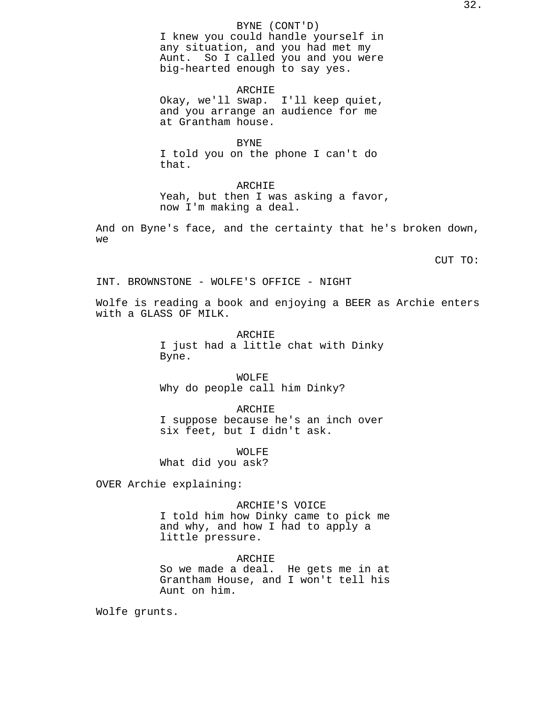# BYNE (CONT'D)

I knew you could handle yourself in any situation, and you had met my Aunt. So I called you and you were big-hearted enough to say yes.

ARCHIE Okay, we'll swap. I'll keep quiet, and you arrange an audience for me at Grantham house.

BYNE I told you on the phone I can't do that.

ARCHIE Yeah, but then I was asking a favor, now I'm making a deal.

And on Byne's face, and the certainty that he's broken down, we

CUT TO:

INT. BROWNSTONE - WOLFE'S OFFICE - NIGHT

Wolfe is reading a book and enjoying a BEER as Archie enters with a GLASS OF MILK.

> ARCHIE I just had a little chat with Dinky Byne.

WOLFE Why do people call him Dinky?

ARCHIE I suppose because he's an inch over six feet, but I didn't ask.

WOLFE What did you ask?

OVER Archie explaining:

ARCHIE'S VOICE

I told him how Dinky came to pick me and why, and how I had to apply a little pressure.

ARCHIE

So we made a deal. He gets me in at Grantham House, and I won't tell his Aunt on him.

Wolfe grunts.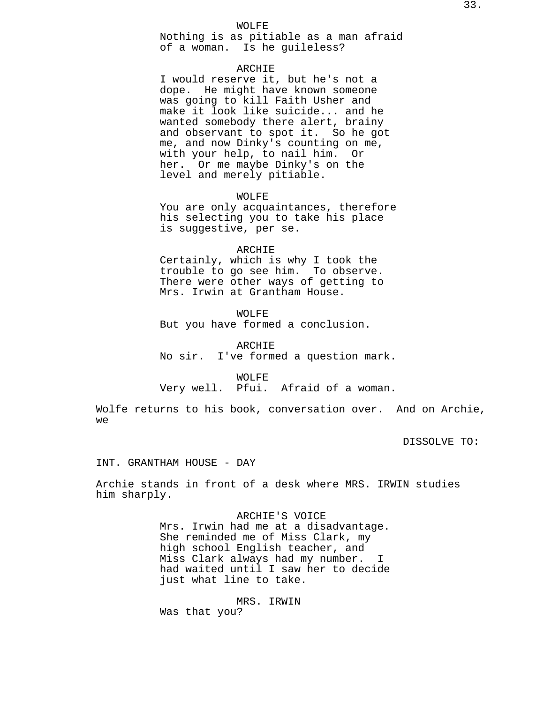WOLFE

Nothing is as pitiable as a man afraid of a woman. Is he guileless?

# ARCHIE

I would reserve it, but he's not a dope. He might have known someone was going to kill Faith Usher and make it look like suicide... and he wanted somebody there alert, brainy and observant to spot it. So he got me, and now Dinky's counting on me, with your help, to nail him. Or her. Or me maybe Dinky's on the level and merely pitiable.

WOLFE

You are only acquaintances, therefore his selecting you to take his place is suggestive, per se.

#### ARCHIE

Certainly, which is why I took the trouble to go see him. To observe. There were other ways of getting to Mrs. Irwin at Grantham House.

WOLFE But you have formed a conclusion.

ARCHIE No sir. I've formed a question mark.

WOLFE

Very well. Pfui. Afraid of a woman.

Wolfe returns to his book, conversation over. And on Archie, we

DISSOLVE TO:

INT. GRANTHAM HOUSE - DAY

Archie stands in front of a desk where MRS. IRWIN studies him sharply.

> ARCHIE'S VOICE Mrs. Irwin had me at a disadvantage. She reminded me of Miss Clark, my high school English teacher, and Miss Clark always had my number. I had waited until I saw her to decide just what line to take.

MRS. IRWIN Was that you?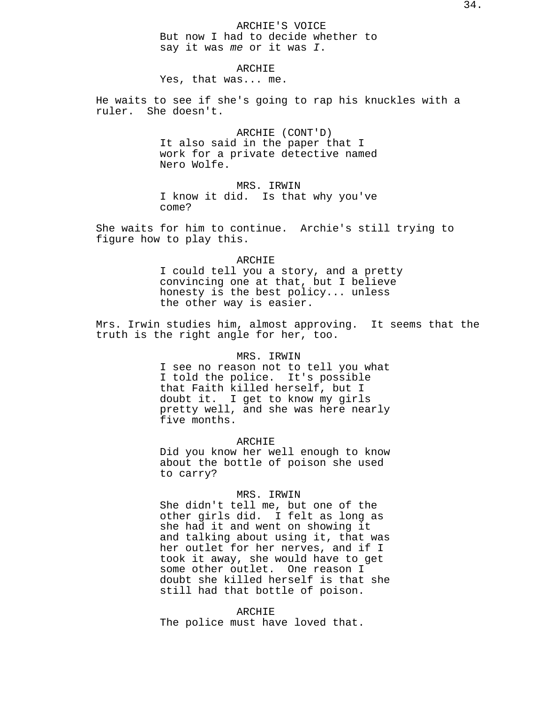ARCHIE'S VOICE But now I had to decide whether to say it was me or it was I.

ARCHIE Yes, that was... me.

He waits to see if she's going to rap his knuckles with a ruler. She doesn't.

> ARCHIE (CONT'D) It also said in the paper that I work for a private detective named Nero Wolfe.

> MRS. IRWIN I know it did. Is that why you've come?

She waits for him to continue. Archie's still trying to figure how to play this.

#### ARCHIE

I could tell you a story, and a pretty convincing one at that, but I believe honesty is the best policy... unless the other way is easier.

Mrs. Irwin studies him, almost approving. It seems that the truth is the right angle for her, too.

# MRS. IRWIN

I see no reason not to tell you what I told the police. It's possible that Faith killed herself, but I doubt it. I get to know my girls pretty well, and she was here nearly five months.

ARCHIE

Did you know her well enough to know about the bottle of poison she used to carry?

### MRS. IRWIN

She didn't tell me, but one of the other girls did. I felt as long as she had it and went on showing it and talking about using it, that was her outlet for her nerves, and if I took it away, she would have to get some other outlet. One reason I doubt she killed herself is that she still had that bottle of poison.

ARCHIE The police must have loved that.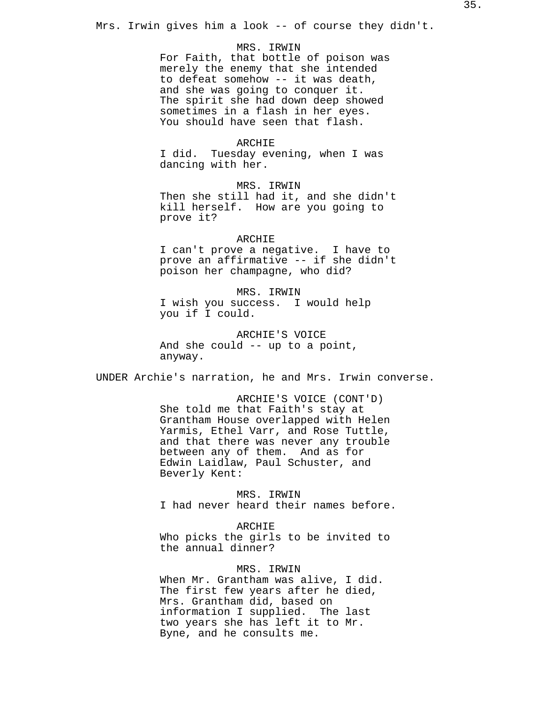Mrs. Irwin gives him a look -- of course they didn't.

#### MRS. IRWIN

For Faith, that bottle of poison was merely the enemy that she intended to defeat somehow -- it was death, and she was going to conquer it. The spirit she had down deep showed sometimes in a flash in her eyes. You should have seen that flash.

#### ARCHIE

I did. Tuesday evening, when I was dancing with her.

MRS. IRWIN Then she still had it, and she didn't kill herself. How are you going to prove it?

# ARCHIE

I can't prove a negative. I have to prove an affirmative -- if she didn't poison her champagne, who did?

MRS. IRWIN I wish you success. I would help you if I could.

ARCHIE'S VOICE And she could -- up to a point, anyway.

UNDER Archie's narration, he and Mrs. Irwin converse.

ARCHIE'S VOICE (CONT'D) She told me that Faith's stay at Grantham House overlapped with Helen Yarmis, Ethel Varr, and Rose Tuttle, and that there was never any trouble between any of them. And as for Edwin Laidlaw, Paul Schuster, and Beverly Kent:

MRS. IRWIN I had never heard their names before.

# ARCHIE

Who picks the girls to be invited to the annual dinner?

### MRS. IRWIN

When Mr. Grantham was alive, I did. The first few years after he died, Mrs. Grantham did, based on information I supplied. The last two years she has left it to Mr. Byne, and he consults me.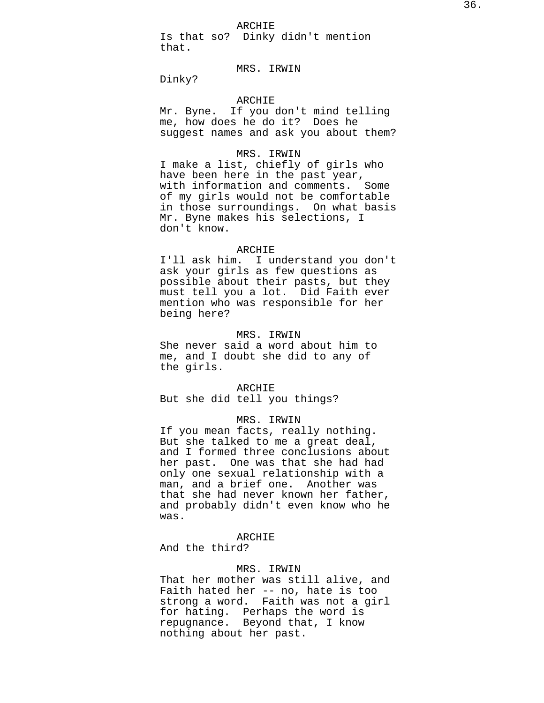ARCHIE

Is that so? Dinky didn't mention that.

# MRS. IRWIN

Dinky?

# ARCHIE

Mr. Byne. If you don't mind telling me, how does he do it? Does he suggest names and ask you about them?

# MRS. IRWIN

I make a list, chiefly of girls who have been here in the past year, with information and comments. Some of my girls would not be comfortable in those surroundings. On what basis Mr. Byne makes his selections, I don't know.

### ARCHIE

I'll ask him. I understand you don't ask your girls as few questions as possible about their pasts, but they must tell you a lot. Did Faith ever mention who was responsible for her being here?

### MRS. IRWIN

She never said a word about him to me, and I doubt she did to any of the girls.

#### ARCHIE

But she did tell you things?

# MRS. IRWIN

If you mean facts, really nothing. But she talked to me a great deal, and I formed three conclusions about her past. One was that she had had only one sexual relationship with a man, and a brief one. Another was that she had never known her father, and probably didn't even know who he was.

# ARCHIE

And the third?

#### MRS. IRWIN

That her mother was still alive, and Faith hated her -- no, hate is too strong a word. Faith was not a girl for hating. Perhaps the word is repugnance. Beyond that, I know nothing about her past.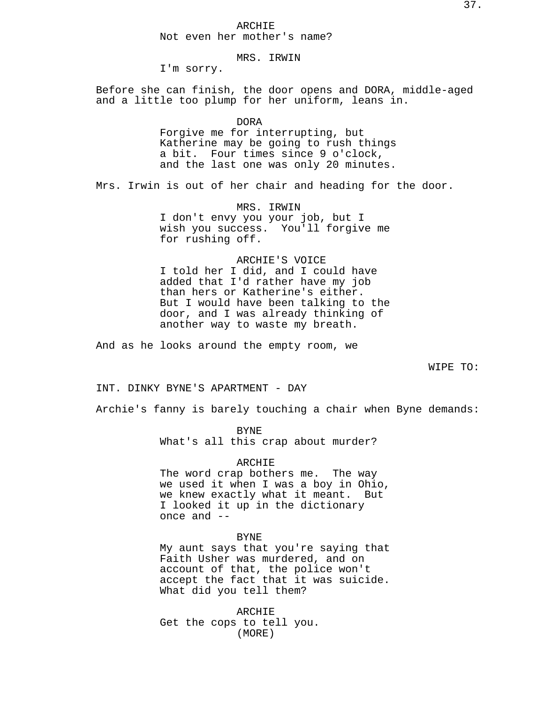## ARCHIE Not even her mother's name?

# MRS. IRWIN

I'm sorry.

Before she can finish, the door opens and DORA, middle-aged and a little too plump for her uniform, leans in.

DORA

Forgive me for interrupting, but Katherine may be going to rush things a bit. Four times since 9 o'clock, and the last one was only 20 minutes.

Mrs. Irwin is out of her chair and heading for the door.

MRS. IRWIN I don't envy you your job, but I wish you success. You'll forgive me for rushing off.

### ARCHIE'S VOICE

I told her I did, and I could have added that I'd rather have my job than hers or Katherine's either. But I would have been talking to the door, and I was already thinking of another way to waste my breath.

And as he looks around the empty room, we

WIPE TO:

INT. DINKY BYNE'S APARTMENT - DAY

Archie's fanny is barely touching a chair when Byne demands:

BYNE What's all this crap about murder?

## ARCHIE

The word crap bothers me. The way we used it when I was a boy in Ohio, we knew exactly what it meant. But I looked it up in the dictionary once and --

BYNE

My aunt says that you're saying that Faith Usher was murdered, and on account of that, the police won't accept the fact that it was suicide. What did you tell them?

ARCHIE Get the cops to tell you. (MORE)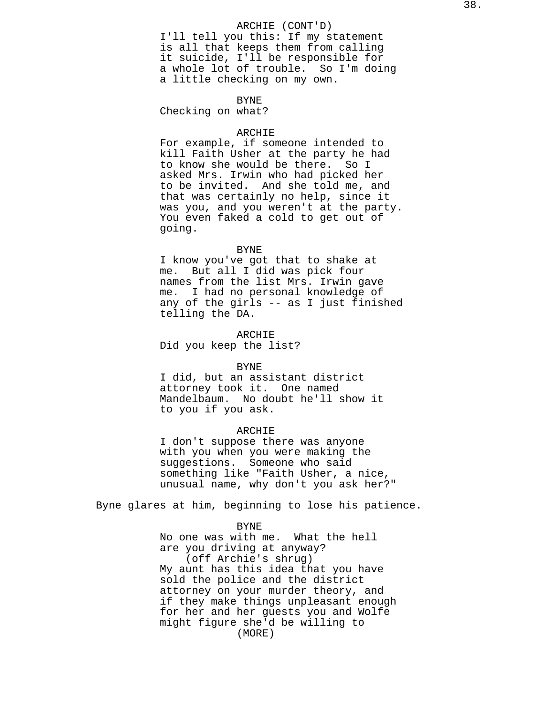## ARCHIE (CONT'D)

I'll tell you this: If my statement is all that keeps them from calling it suicide, I'll be responsible for a whole lot of trouble. So I'm doing a little checking on my own.

### BYNE

Checking on what?

#### ARCHIE

For example, if someone intended to kill Faith Usher at the party he had to know she would be there. So I asked Mrs. Irwin who had picked her to be invited. And she told me, and that was certainly no help, since it was you, and you weren't at the party. You even faked a cold to get out of going.

#### BYNE

I know you've got that to shake at me. But all I did was pick four names from the list Mrs. Irwin gave me. I had no personal knowledge of any of the girls -- as I just finished telling the DA.

ARCHIE

Did you keep the list?

#### BYNE

I did, but an assistant district attorney took it. One named Mandelbaum. No doubt he'll show it to you if you ask.

## ARCHIE

I don't suppose there was anyone with you when you were making the suggestions. Someone who said something like "Faith Usher, a nice, unusual name, why don't you ask her?"

Byne glares at him, beginning to lose his patience.

### BYNE

No one was with me. What the hell are you driving at anyway? (off Archie's shrug) My aunt has this idea that you have sold the police and the district attorney on your murder theory, and if they make things unpleasant enough for her and her guests you and Wolfe might figure she'd be willing to (MORE)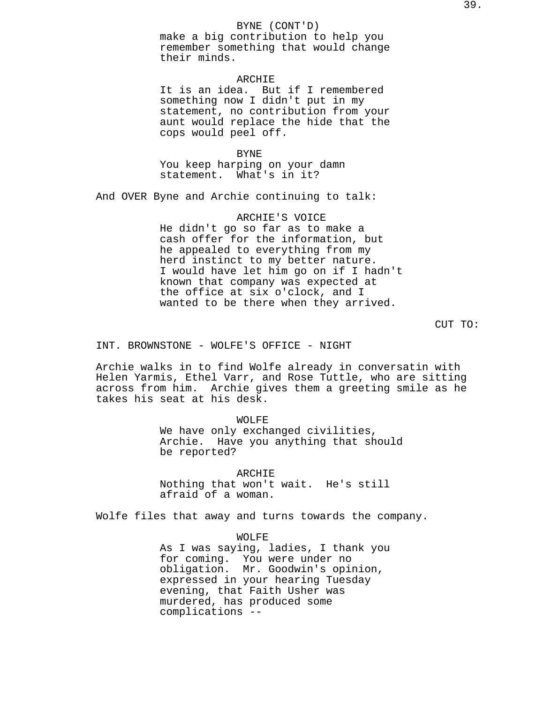## BYNE (CONT'D)

make a big contribution to help you remember something that would change their minds.

# ARCHIE

It is an idea. But if I remembered something now I didn't put in my statement, no contribution from your aunt would replace the hide that the cops would peel off.

## BYNE

You keep harping on your damn statement. What's in it?

And OVER Byne and Archie continuing to talk:

### ARCHIE'S VOICE

He didn't go so far as to make a cash offer for the information, but he appealed to everything from my herd instinct to my better nature. I would have let him go on if I hadn't known that company was expected at the office at six o'clock, and I wanted to be there when they arrived.

CUT TO:

INT. BROWNSTONE - WOLFE'S OFFICE - NIGHT

Archie walks in to find Wolfe already in conversatin with Helen Yarmis, Ethel Varr, and Rose Tuttle, who are sitting across from him. Archie gives them a greeting smile as he takes his seat at his desk.

> WOLFE We have only exchanged civilities, Archie. Have you anything that should be reported?

ARCHIE Nothing that won't wait. He's still afraid of a woman.

Wolfe files that away and turns towards the company.

WOLFE

As I was saying, ladies, I thank you for coming. You were under no obligation. Mr. Goodwin's opinion, expressed in your hearing Tuesday evening, that Faith Usher was murdered, has produced some complications --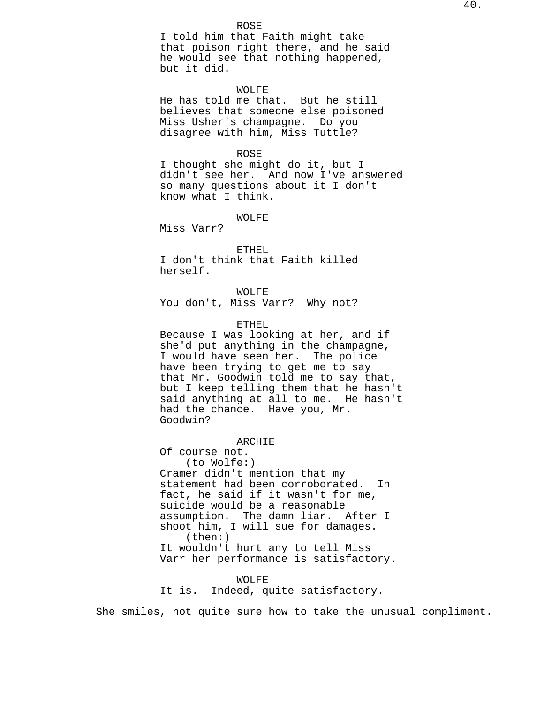I told him that Faith might take that poison right there, and he said he would see that nothing happened, but it did.

## WOLFE

He has told me that. But he still believes that someone else poisoned Miss Usher's champagne. Do you disagree with him, Miss Tuttle?

### ROSE

I thought she might do it, but I didn't see her. And now I've answered so many questions about it I don't know what I think.

## WOLFE

Miss Varr?

ETHEL I don't think that Faith killed herself.

## WOLFE

You don't, Miss Varr? Why not?

### ETHEL

Because I was looking at her, and if she'd put anything in the champagne, I would have seen her. The police have been trying to get me to say that Mr. Goodwin told me to say that, but I keep telling them that he hasn't said anything at all to me. He hasn't had the chance. Have you, Mr. Goodwin?

### ARCHIE

Of course not. (to Wolfe:) Cramer didn't mention that my statement had been corroborated. In fact, he said if it wasn't for me, suicide would be a reasonable assumption. The damn liar. After I shoot him, I will sue for damages. (then:) It wouldn't hurt any to tell Miss Varr her performance is satisfactory.

### WOLFE

It is. Indeed, quite satisfactory.

She smiles, not quite sure how to take the unusual compliment.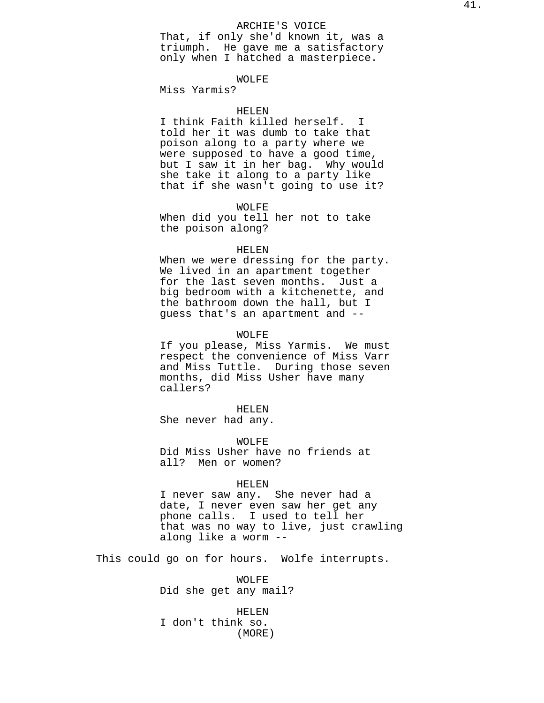## ARCHIE'S VOICE

That, if only she'd known it, was a triumph. He gave me a satisfactory only when I hatched a masterpiece.

## WOLFE

Miss Yarmis?

### HELEN

I think Faith killed herself. I told her it was dumb to take that poison along to a party where we were supposed to have a good time, but I saw it in her bag. Why would she take it along to a party like that if she wasn't going to use it?

## WOLFE

When did you tell her not to take the poison along?

#### HELEN

When we were dressing for the party. We lived in an apartment together for the last seven months. Just a big bedroom with a kitchenette, and the bathroom down the hall, but I guess that's an apartment and --

### WOLFE

If you please, Miss Yarmis. We must respect the convenience of Miss Varr and Miss Tuttle. During those seven months, did Miss Usher have many callers?

HELEN She never had any.

WOLFE Did Miss Usher have no friends at all? Men or women?

#### HELEN

I never saw any. She never had a date, I never even saw her get any phone calls. I used to tell her that was no way to live, just crawling along like a worm --

This could go on for hours. Wolfe interrupts.

WOLFE Did she get any mail?

HELEN I don't think so. (MORE)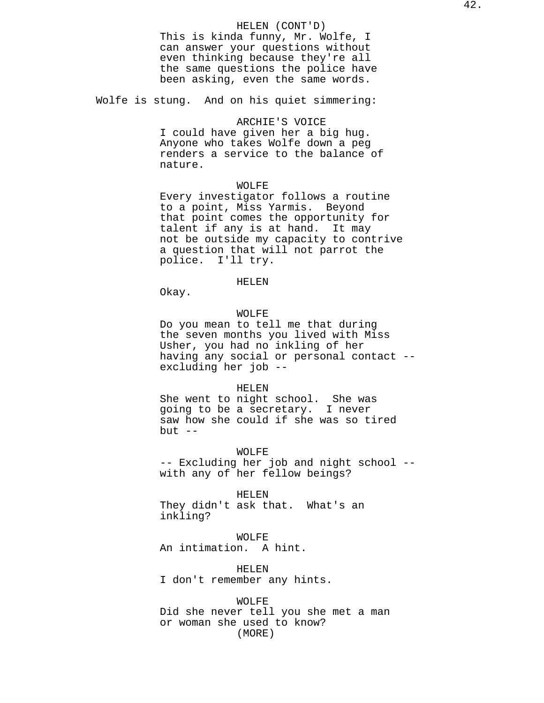## HELEN (CONT'D)

This is kinda funny, Mr. Wolfe, I can answer your questions without even thinking because they're all the same questions the police have been asking, even the same words.

Wolfe is stung. And on his quiet simmering:

### ARCHIE'S VOICE

I could have given her a big hug. Anyone who takes Wolfe down a peg renders a service to the balance of nature.

## WOLFE

Every investigator follows a routine to a point, Miss Yarmis. Beyond that point comes the opportunity for talent if any is at hand. It may not be outside my capacity to contrive a question that will not parrot the police. I'll try.

## HELEN

Okay.

## WOLFE

Do you mean to tell me that during the seven months you lived with Miss Usher, you had no inkling of her having any social or personal contact - excluding her job --

#### HELEN

She went to night school. She was going to be a secretary. I never saw how she could if she was so tired but  $--$ 

WOLFE

-- Excluding her job and night school - with any of her fellow beings?

HELEN

They didn't ask that. What's an inkling?

## WOLFE

An intimation. A hint.

HELEN I don't remember any hints.

WOLFE Did she never tell you she met a man or woman she used to know? (MORE)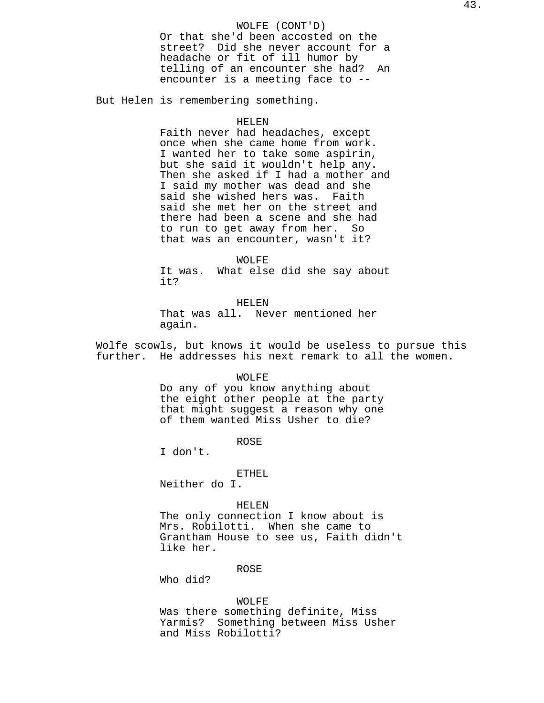## WOLFE (CONT'D)

Or that she'd been accosted on the street? Did she never account for a headache or fit of ill humor by telling of an encounter she had? An encounter is a meeting face to --

But Helen is remembering something.

## HELEN

Faith never had headaches, except once when she came home from work. I wanted her to take some aspirin, but she said it wouldn't help any. Then she asked if I had a mother and I said my mother was dead and she said she wished hers was. Faith said she met her on the street and there had been a scene and she had to run to get away from her. So that was an encounter, wasn't it?

WOLFE It was. What else did she say about it?

HELEN That was all. Never mentioned her again.

Wolfe scowls, but knows it would be useless to pursue this further. He addresses his next remark to all the women.

### WOLFE

Do any of you know anything about the eight other people at the party that might suggest a reason why one of them wanted Miss Usher to die?

**ROSE** 

I don't.

## ETHEL

Neither do I.

## HELEN

The only connection I know about is Mrs. Robilotti. When she came to Grantham House to see us, Faith didn't like her.

### ROSE

Who did?

### WOLFE

Was there something definite, Miss Yarmis? Something between Miss Usher and Miss Robilotti?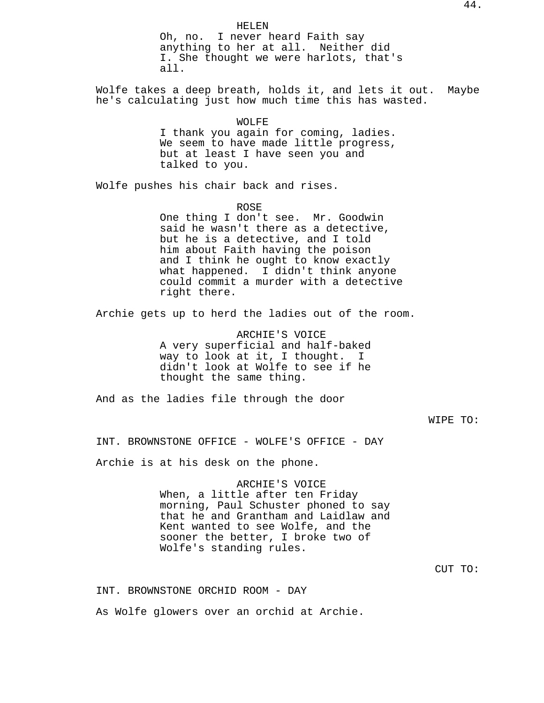HELEN Oh, no. I never heard Faith say anything to her at all. Neither did I. She thought we were harlots, that's all. Wolfe takes a deep breath, holds it, and lets it out. Maybe he's calculating just how much time this has wasted. WOLFE I thank you again for coming, ladies. We seem to have made little progress, but at least I have seen you and talked to you. Wolfe pushes his chair back and rises. ROSE One thing I don't see. Mr. Goodwin said he wasn't there as a detective, but he is a detective, and I told him about Faith having the poison and I think he ought to know exactly what happened. I didn't think anyone could commit a murder with a detective right there. Archie gets up to herd the ladies out of the room. ARCHIE'S VOICE A very superficial and half-baked way to look at it, I thought. I didn't look at Wolfe to see if he thought the same thing. And as the ladies file through the door WIPE TO: INT. BROWNSTONE OFFICE - WOLFE'S OFFICE - DAY Archie is at his desk on the phone. ARCHIE'S VOICE When, a little after ten Friday morning, Paul Schuster phoned to say that he and Grantham and Laidlaw and Kent wanted to see Wolfe, and the sooner the better, I broke two of Wolfe's standing rules. CUT TO:

INT. BROWNSTONE ORCHID ROOM - DAY

As Wolfe glowers over an orchid at Archie.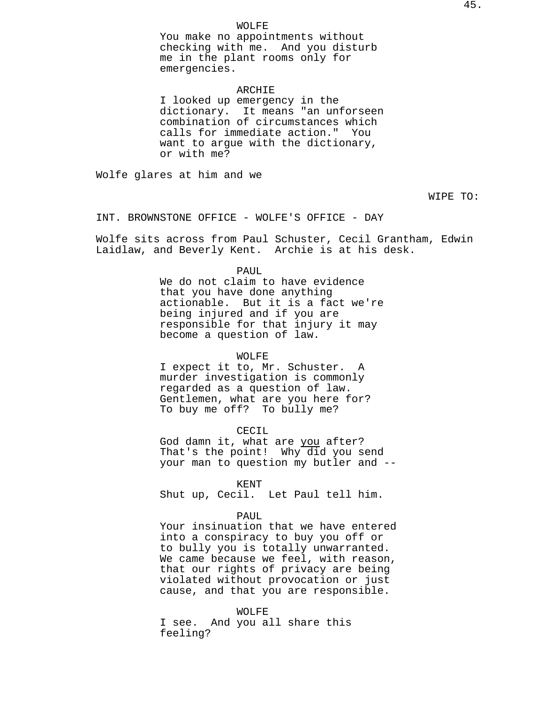### WOLFE

You make no appointments without checking with me. And you disturb me in the plant rooms only for emergencies.

#### ARCHIE

I looked up emergency in the dictionary. It means "an unforseen combination of circumstances which calls for immediate action." You want to argue with the dictionary, or with me?

Wolfe glares at him and we

WIPE TO:

INT. BROWNSTONE OFFICE - WOLFE'S OFFICE - DAY

Wolfe sits across from Paul Schuster, Cecil Grantham, Edwin Laidlaw, and Beverly Kent. Archie is at his desk.

#### PAUL

We do not claim to have evidence that you have done anything actionable. But it is a fact we're being injured and if you are responsible for that injury it may become a question of law.

## WOLFE

I expect it to, Mr. Schuster. A murder investigation is commonly regarded as a question of law. Gentlemen, what are you here for? To buy me off? To bully me?

#### CECIL

God damn it, what are you after? That's the point! Why did you send your man to question my butler and --

#### KENT

Shut up, Cecil. Let Paul tell him.

#### PAUL

Your insinuation that we have entered into a conspiracy to buy you off or to bully you is totally unwarranted. We came because we feel, with reason, that our rights of privacy are being violated without provocation or just cause, and that you are responsible.

WOLFE

I see. And you all share this feeling?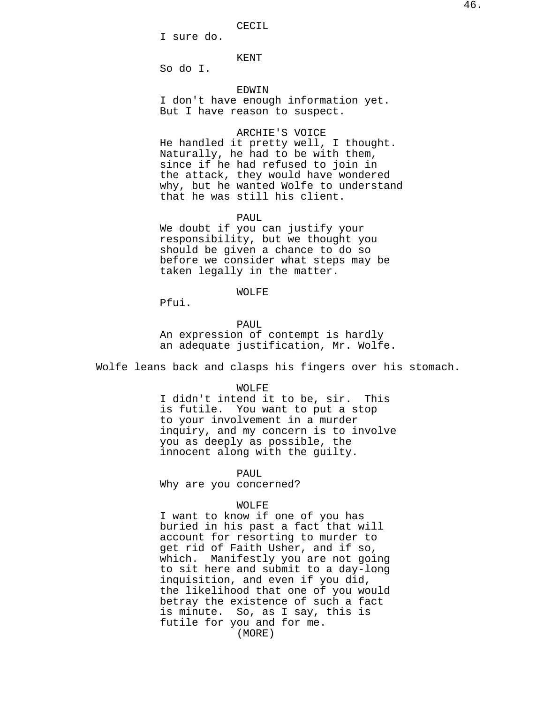CECIL

I sure do.

KENT

So do I.

### EDWIN

I don't have enough information yet. But I have reason to suspect.

# ARCHIE'S VOICE

He handled it pretty well, I thought. Naturally, he had to be with them, since if he had refused to join in the attack, they would have wondered why, but he wanted Wolfe to understand that he was still his client.

### PAUL

We doubt if you can justify your responsibility, but we thought you should be given a chance to do so before we consider what steps may be taken legally in the matter.

## WOLFE

Pfui.

#### PAUL

An expression of contempt is hardly an adequate justification, Mr. Wolfe.

Wolfe leans back and clasps his fingers over his stomach.

#### WOLFE

I didn't intend it to be, sir. This is futile. You want to put a stop to your involvement in a murder inquiry, and my concern is to involve you as deeply as possible, the innocent along with the guilty.

PAUL

Why are you concerned?

### WOLFE

I want to know if one of you has buried in his past a fact that will account for resorting to murder to get rid of Faith Usher, and if so, which. Manifestly you are not going to sit here and submit to a day-long inquisition, and even if you did, the likelihood that one of you would betray the existence of such a fact is minute. So, as I say, this is futile for you and for me. (MORE)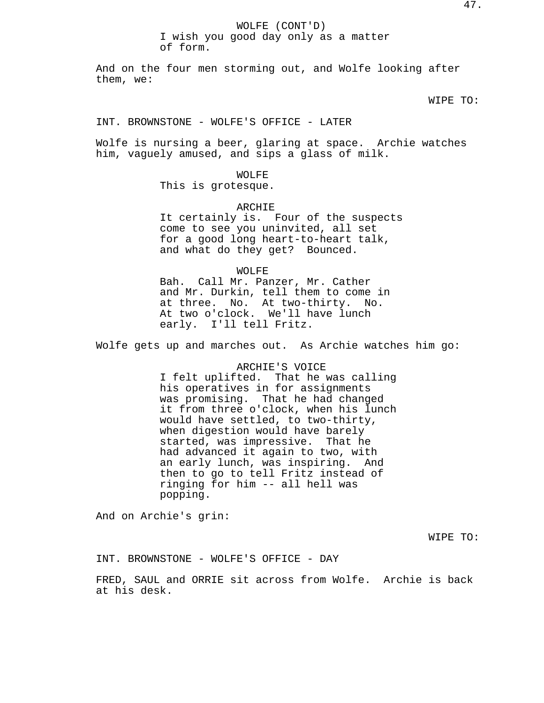## WOLFE (CONT'D) I wish you good day only as a matter of form.

And on the four men storming out, and Wolfe looking after them, we:

WIPE TO:

## INT. BROWNSTONE - WOLFE'S OFFICE - LATER

Wolfe is nursing a beer, glaring at space. Archie watches him, vaguely amused, and sips a glass of milk.

### WOLFE

This is grotesque.

#### ARCHIE

It certainly is. Four of the suspects come to see you uninvited, all set for a good long heart-to-heart talk, and what do they get? Bounced.

### WOLFE

Bah. Call Mr. Panzer, Mr. Cather and Mr. Durkin, tell them to come in at three. No. At two-thirty. No. At two o'clock. We'll have lunch early. I'll tell Fritz.

Wolfe gets up and marches out. As Archie watches him go:

# ARCHIE'S VOICE I felt uplifted. That he was calling his operatives in for assignments was promising. That he had changed it from three o'clock, when his lunch would have settled, to two-thirty, when digestion would have barely started, was impressive. That he had advanced it again to two, with an early lunch, was inspiring. And then to go to tell Fritz instead of ringing for him -- all hell was popping.

And on Archie's grin:

WIPE TO:

INT. BROWNSTONE - WOLFE'S OFFICE - DAY

FRED, SAUL and ORRIE sit across from Wolfe. Archie is back at his desk.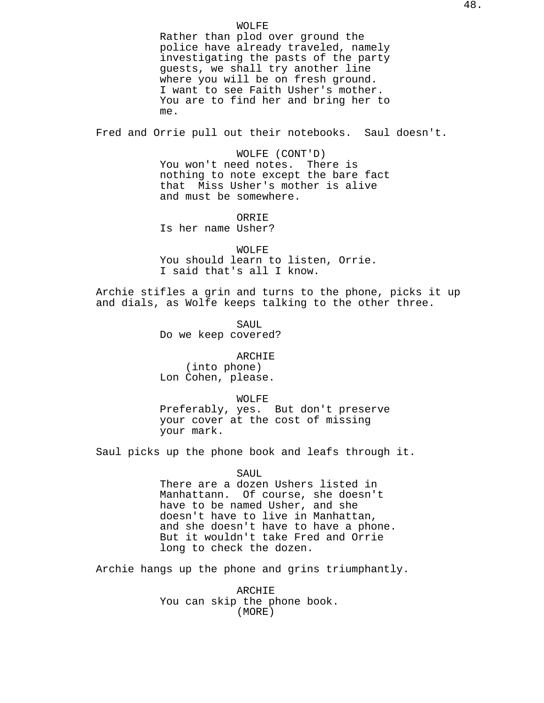WOLFE

Rather than plod over ground the police have already traveled, namely investigating the pasts of the party guests, we shall try another line where you will be on fresh ground. I want to see Faith Usher's mother. You are to find her and bring her to me.

Fred and Orrie pull out their notebooks. Saul doesn't.

WOLFE (CONT'D) You won't need notes. There is nothing to note except the bare fact that Miss Usher's mother is alive and must be somewhere.

**ORRIE** Is her name Usher?

WOLFE You should learn to listen, Orrie. I said that's all I know.

Archie stifles a grin and turns to the phone, picks it up and dials, as Wolfe keeps talking to the other three.

> SAUL Do we keep covered?

ARCHIE (into phone) Lon Cohen, please.

WOLFE Preferably, yes. But don't preserve your cover at the cost of missing your mark.

Saul picks up the phone book and leafs through it.

SAUL There are a dozen Ushers listed in Manhattann. Of course, she doesn't have to be named Usher, and she doesn't have to live in Manhattan, and she doesn't have to have a phone. But it wouldn't take Fred and Orrie long to check the dozen.

Archie hangs up the phone and grins triumphantly.

ARCHIE You can skip the phone book. (MORE)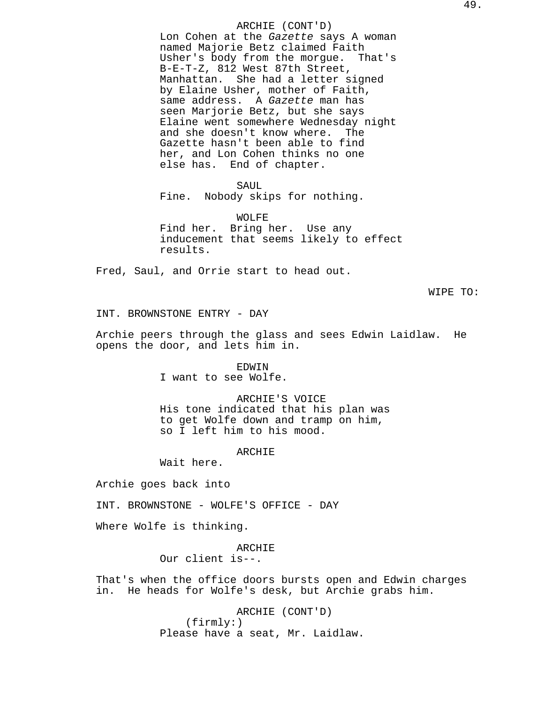## ARCHIE (CONT'D)

Lon Cohen at the Gazette says A woman named Majorie Betz claimed Faith Usher's body from the morgue. That's B-E-T-Z, 812 West 87th Street, Manhattan. She had a letter signed by Elaine Usher, mother of Faith, same address. A Gazette man has seen Marjorie Betz, but she says Elaine went somewhere Wednesday night and she doesn't know where. The Gazette hasn't been able to find her, and Lon Cohen thinks no one else has. End of chapter.

SAUL

Fine. Nobody skips for nothing.

WOLFE Find her. Bring her. Use any inducement that seems likely to effect results.

Fred, Saul, and Orrie start to head out.

WIPE TO:

INT. BROWNSTONE ENTRY - DAY

Archie peers through the glass and sees Edwin Laidlaw. He opens the door, and lets him in.

> EDWIN I want to see Wolfe.

ARCHIE'S VOICE His tone indicated that his plan was to get Wolfe down and tramp on him, so I left him to his mood.

## ARCHIE

Wait here.

Archie goes back into

INT. BROWNSTONE - WOLFE'S OFFICE - DAY

Where Wolfe is thinking.

ARCHIE

Our client is--.

That's when the office doors bursts open and Edwin charges in. He heads for Wolfe's desk, but Archie grabs him.

> ARCHIE (CONT'D) (firmly:) Please have a seat, Mr. Laidlaw.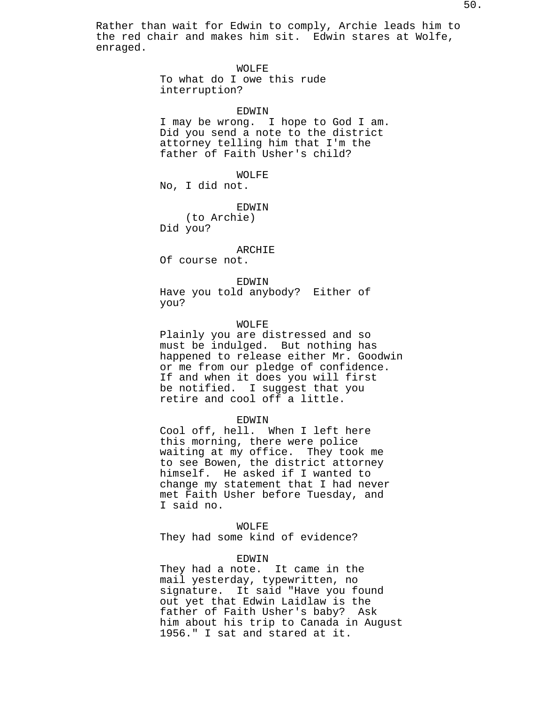Rather than wait for Edwin to comply, Archie leads him to the red chair and makes him sit. Edwin stares at Wolfe, enraged.

WOLFE

To what do I owe this rude interruption?

EDWIN

I may be wrong. I hope to God I am. Did you send a note to the district attorney telling him that I'm the father of Faith Usher's child?

WOLFE No, I did not.

EDWIN

(to Archie) Did you?

ARCHIE

Of course not.

## EDWIN

Have you told anybody? Either of you?

### WOLFE

Plainly you are distressed and so must be indulged. But nothing has happened to release either Mr. Goodwin or me from our pledge of confidence. If and when it does you will first be notified. I suggest that you retire and cool off a little.

## EDWIN

Cool off, hell. When I left here this morning, there were police waiting at my office. They took me to see Bowen, the district attorney himself. He asked if I wanted to change my statement that I had never met Faith Usher before Tuesday, and I said no.

### WOLFE

They had some kind of evidence?

#### EDWIN

They had a note. It came in the mail yesterday, typewritten, no signature. It said "Have you found out yet that Edwin Laidlaw is the father of Faith Usher's baby? Ask him about his trip to Canada in August 1956." I sat and stared at it.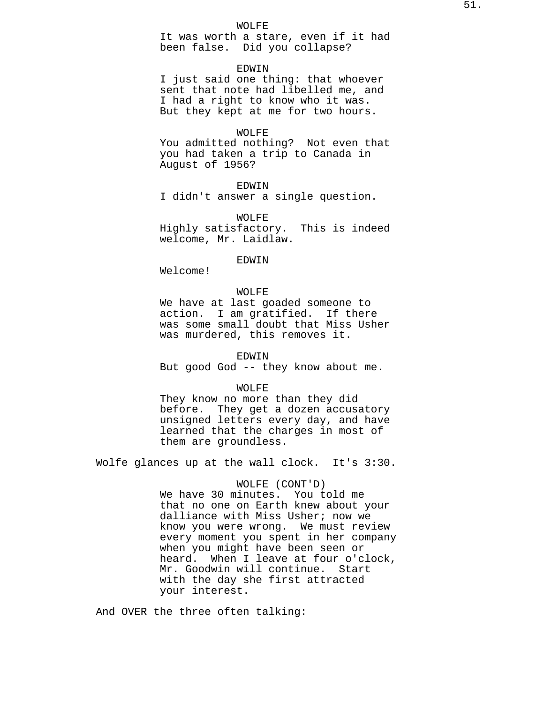It was worth a stare, even if it had been false. Did you collapse?

## EDWIN

I just said one thing: that whoever sent that note had libelled me, and I had a right to know who it was. But they kept at me for two hours.

## WOLFE

You admitted nothing? Not even that you had taken a trip to Canada in August of 1956?

## EDWIN

I didn't answer a single question.

## WOLFE

Highly satisfactory. This is indeed welcome, Mr. Laidlaw.

## EDWIN

Welcome!

# WOLFE

We have at last goaded someone to action. I am gratified. If there was some small doubt that Miss Usher was murdered, this removes it.

### EDWIN

But good God -- they know about me.

#### WOLFE

They know no more than they did before. They get a dozen accusatory unsigned letters every day, and have learned that the charges in most of them are groundless.

Wolfe glances up at the wall clock. It's 3:30.

## WOLFE (CONT'D)

We have 30 minutes. You told me that no one on Earth knew about your dalliance with Miss Usher; now we know you were wrong. We must review every moment you spent in her company when you might have been seen or heard. When I leave at four o'clock, Mr. Goodwin will continue. Start with the day she first attracted your interest.

And OVER the three often talking: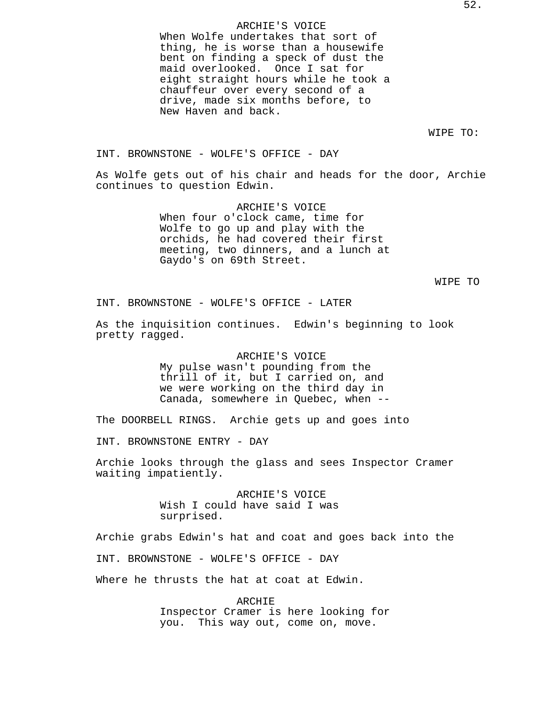## ARCHIE'S VOICE

When Wolfe undertakes that sort of thing, he is worse than a housewife bent on finding a speck of dust the maid overlooked. Once I sat for eight straight hours while he took a chauffeur over every second of a drive, made six months before, to New Haven and back.

WIPE TO:

INT. BROWNSTONE - WOLFE'S OFFICE - DAY

As Wolfe gets out of his chair and heads for the door, Archie continues to question Edwin.

> ARCHIE'S VOICE When four o'clock came, time for Wolfe to go up and play with the orchids, he had covered their first meeting, two dinners, and a lunch at Gaydo's on 69th Street.

> > WIPE TO

INT. BROWNSTONE - WOLFE'S OFFICE - LATER

As the inquisition continues. Edwin's beginning to look pretty ragged.

> ARCHIE'S VOICE My pulse wasn't pounding from the thrill of it, but I carried on, and we were working on the third day in Canada, somewhere in Quebec, when --

The DOORBELL RINGS. Archie gets up and goes into

INT. BROWNSTONE ENTRY - DAY

Archie looks through the glass and sees Inspector Cramer waiting impatiently.

> ARCHIE'S VOICE Wish I could have said I was surprised.

Archie grabs Edwin's hat and coat and goes back into the

INT. BROWNSTONE - WOLFE'S OFFICE - DAY

Where he thrusts the hat at coat at Edwin.

ARCHIE Inspector Cramer is here looking for you. This way out, come on, move.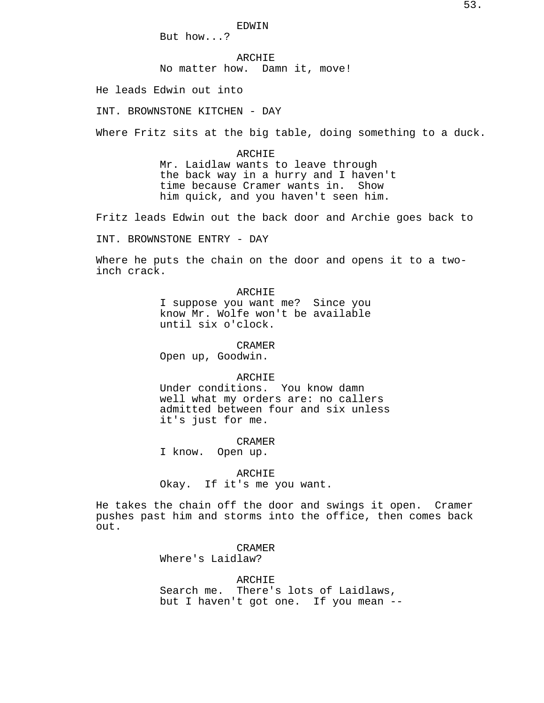EDWIN

But how...?

ARCHIE No matter how. Damn it, move!

He leads Edwin out into

INT. BROWNSTONE KITCHEN - DAY

Where Fritz sits at the big table, doing something to a duck.

#### ARCHIE

Mr. Laidlaw wants to leave through the back way in a hurry and I haven't time because Cramer wants in. Show him quick, and you haven't seen him.

Fritz leads Edwin out the back door and Archie goes back to

INT. BROWNSTONE ENTRY - DAY

Where he puts the chain on the door and opens it to a twoinch crack.

## ARCHIE

I suppose you want me? Since you know Mr. Wolfe won't be available until six o'clock.

CRAMER

Open up, Goodwin.

### ARCHIE

Under conditions. You know damn well what my orders are: no callers admitted between four and six unless it's just for me.

## CRAMER

I know. Open up.

## ARCHIE

Okay. If it's me you want.

He takes the chain off the door and swings it open. Cramer pushes past him and storms into the office, then comes back out.

> CRAMER Where's Laidlaw?

ARCHIE Search me. There's lots of Laidlaws, but I haven't got one. If you mean --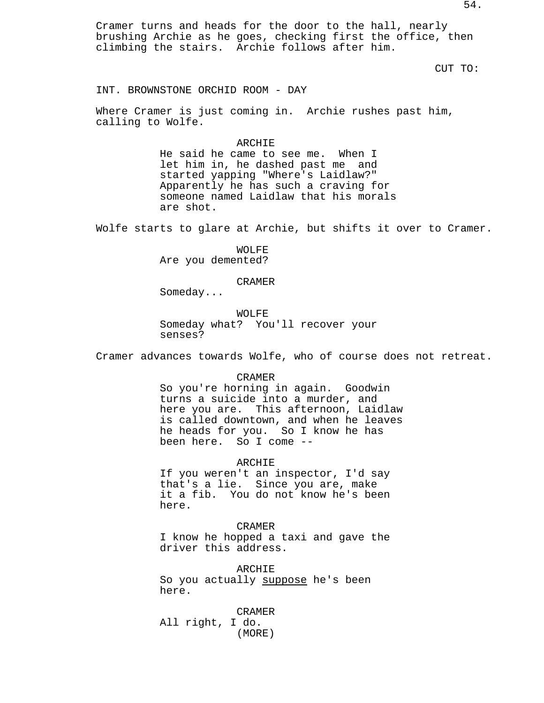Cramer turns and heads for the door to the hall, nearly brushing Archie as he goes, checking first the office, then climbing the stairs. Archie follows after him.

CUT TO:

INT. BROWNSTONE ORCHID ROOM - DAY

Where Cramer is just coming in. Archie rushes past him, calling to Wolfe.

#### ARCHIE

He said he came to see me. When I let him in, he dashed past me and started yapping "Where's Laidlaw?" Apparently he has such a craving for someone named Laidlaw that his morals are shot.

Wolfe starts to glare at Archie, but shifts it over to Cramer.

WOLFE Are you demented?

CRAMER

Someday...

WOLFE Someday what? You'll recover your senses?

Cramer advances towards Wolfe, who of course does not retreat.

#### CRAMER

So you're horning in again. Goodwin turns a suicide into a murder, and here you are. This afternoon, Laidlaw is called downtown, and when he leaves he heads for you. So I know he has been here. So I come --

ARCHIE

If you weren't an inspector, I'd say that's a lie. Since you are, make it a fib. You do not know he's been here.

CRAMER

I know he hopped a taxi and gave the driver this address.

ARCHIE So you actually suppose he's been here.

CRAMER All right, I do. (MORE)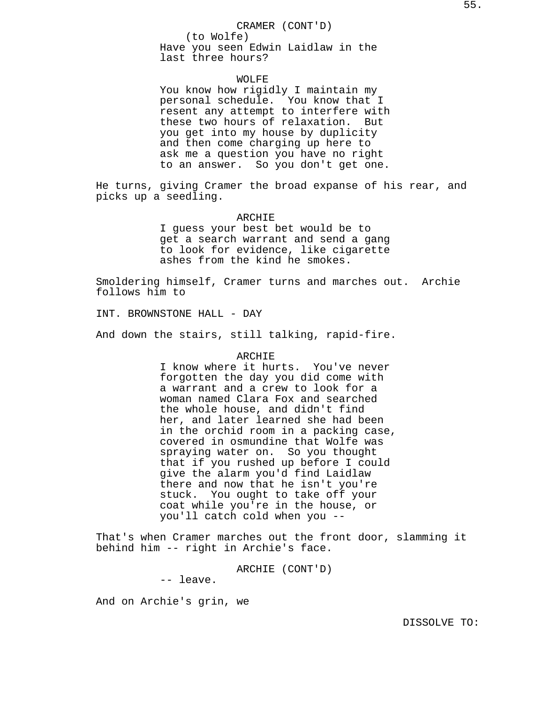### CRAMER (CONT'D)

(to Wolfe) Have you seen Edwin Laidlaw in the last three hours?

### WOLFE

You know how rigidly I maintain my personal schedule. You know that I resent any attempt to interfere with these two hours of relaxation. But you get into my house by duplicity and then come charging up here to ask me a question you have no right to an answer. So you don't get one.

He turns, giving Cramer the broad expanse of his rear, and picks up a seedling.

### ARCHIE

I guess your best bet would be to get a search warrant and send a gang to look for evidence, like cigarette ashes from the kind he smokes.

Smoldering himself, Cramer turns and marches out. Archie follows him to

INT. BROWNSTONE HALL - DAY

And down the stairs, still talking, rapid-fire.

## ARCHIE

I know where it hurts. You've never forgotten the day you did come with a warrant and a crew to look for a woman named Clara Fox and searched the whole house, and didn't find her, and later learned she had been in the orchid room in a packing case, covered in osmundine that Wolfe was spraying water on. So you thought that if you rushed up before I could give the alarm you'd find Laidlaw there and now that he isn't you're stuck. You ought to take off your coat while you're in the house, or you'll catch cold when you --

That's when Cramer marches out the front door, slamming it behind him -- right in Archie's face.

ARCHIE (CONT'D)

-- leave.

And on Archie's grin, we

DISSOLVE TO: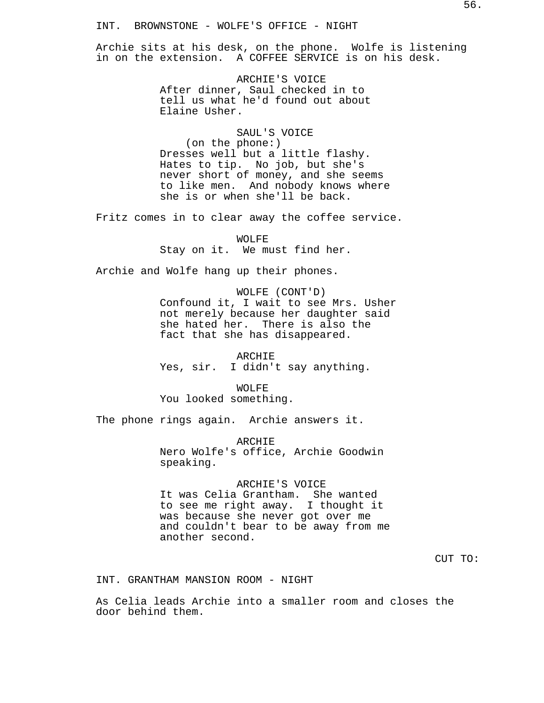Archie sits at his desk, on the phone. Wolfe is listening in on the extension. A COFFEE SERVICE is on his desk.

> ARCHIE'S VOICE After dinner, Saul checked in to tell us what he'd found out about Elaine Usher.

SAUL'S VOICE (on the phone:) Dresses well but a little flashy. Hates to tip. No job, but she's never short of money, and she seems to like men. And nobody knows where she is or when she'll be back.

Fritz comes in to clear away the coffee service.

WOLFE Stay on it. We must find her.

Archie and Wolfe hang up their phones.

WOLFE (CONT'D) Confound it, I wait to see Mrs. Usher not merely because her daughter said she hated her. There is also the fact that she has disappeared.

ARCHIE Yes, sir. I didn't say anything.

WOLFE You looked something.

The phone rings again. Archie answers it.

ARCHIE Nero Wolfe's office, Archie Goodwin speaking.

ARCHIE'S VOICE It was Celia Grantham. She wanted to see me right away. I thought it was because she never got over me and couldn't bear to be away from me another second.

CUT TO:

INT. GRANTHAM MANSION ROOM - NIGHT

As Celia leads Archie into a smaller room and closes the door behind them.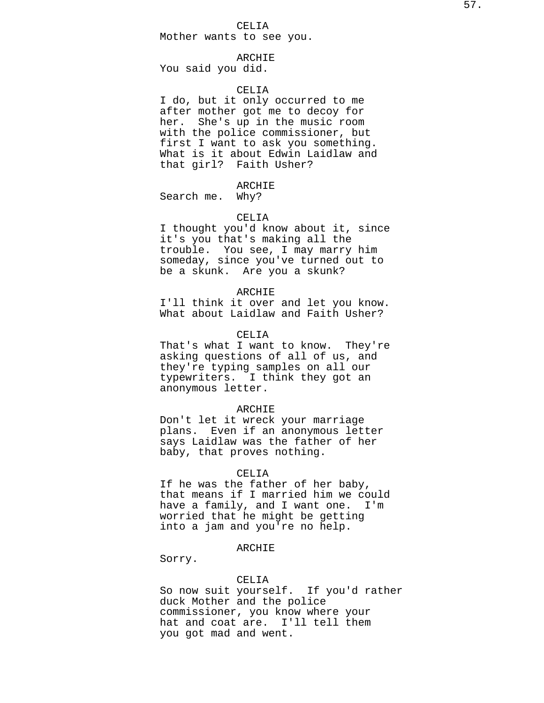# CELIA

Mother wants to see you.

## ARCHIE

You said you did.

## CELIA

I do, but it only occurred to me after mother got me to decoy for her. She's up in the music room with the police commissioner, but first I want to ask you something. What is it about Edwin Laidlaw and that girl? Faith Usher?

# ARCHIE

Search me. Why?

### CELIA

I thought you'd know about it, since it's you that's making all the trouble. You see, I may marry him someday, since you've turned out to be a skunk. Are you a skunk?

## ARCHIE

I'll think it over and let you know. What about Laidlaw and Faith Usher?

### CELIA

That's what I want to know. They're asking questions of all of us, and they're typing samples on all our typewriters. I think they got an anonymous letter.

### ARCHIE

Don't let it wreck your marriage plans. Even if an anonymous letter says Laidlaw was the father of her baby, that proves nothing.

## CELIA

If he was the father of her baby, that means if I married him we could have a family, and I want one. I'm worried that he might be getting into a jam and you're no help.

## ARCHIE

Sorry.

## CELIA

So now suit yourself. If you'd rather duck Mother and the police commissioner, you know where your hat and coat are. I'll tell them you got mad and went.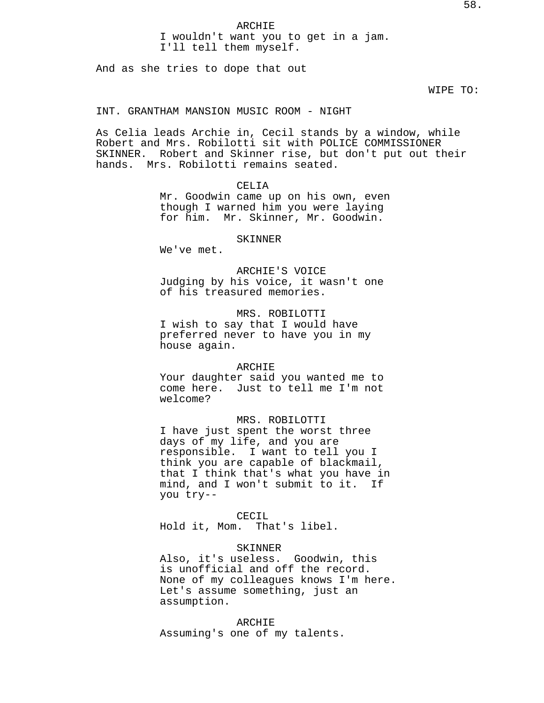# ARCHIE I wouldn't want you to get in a jam. I'll tell them myself.

And as she tries to dope that out

WIPE TO:

## INT. GRANTHAM MANSION MUSIC ROOM - NIGHT

As Celia leads Archie in, Cecil stands by a window, while Robert and Mrs. Robilotti sit with POLICE COMMISSIONER SKINNER. Robert and Skinner rise, but don't put out their hands. Mrs. Robilotti remains seated.

## CELIA

Mr. Goodwin came up on his own, even though I warned him you were laying for him. Mr. Skinner, Mr. Goodwin.

## SKINNER

We've met.

ARCHIE'S VOICE Judging by his voice, it wasn't one of his treasured memories.

# MRS. ROBILOTTI I wish to say that I would have preferred never to have you in my house again.

#### ARCHIE

Your daughter said you wanted me to come here. Just to tell me I'm not welcome?

# MRS. ROBILOTTI

I have just spent the worst three days of my life, and you are responsible. I want to tell you I think you are capable of blackmail, that I think that's what you have in mind, and I won't submit to it. If you try--

# CECIL

Hold it, Mom. That's libel.

## SKINNER

Also, it's useless. Goodwin, this is unofficial and off the record. None of my colleagues knows I'm here. Let's assume something, just an assumption.

#### ARCHIE

Assuming's one of my talents.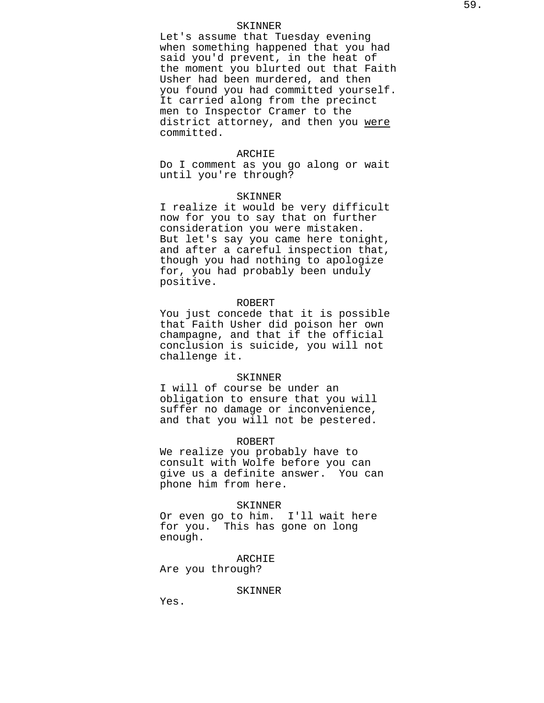### SKINNER

Let's assume that Tuesday evening when something happened that you had said you'd prevent, in the heat of the moment you blurted out that Faith Usher had been murdered, and then you found you had committed yourself. It carried along from the precinct men to Inspector Cramer to the district attorney, and then you were committed.

#### ARCHIE

Do I comment as you go along or wait until you're through?

### SKINNER

I realize it would be very difficult now for you to say that on further consideration you were mistaken. But let's say you came here tonight, and after a careful inspection that, though you had nothing to apologize for, you had probably been unduly positive.

## ROBERT

You just concede that it is possible that Faith Usher did poison her own champagne, and that if the official conclusion is suicide, you will not challenge it.

## SKINNER

I will of course be under an obligation to ensure that you will suffer no damage or inconvenience, and that you will not be pestered.

#### ROBERT

We realize you probably have to consult with Wolfe before you can give us a definite answer. You can phone him from here.

#### SKINNER

Or even go to him. I'll wait here for you. This has gone on long enough.

### ARCHIE

Are you through?

## SKINNER

Yes.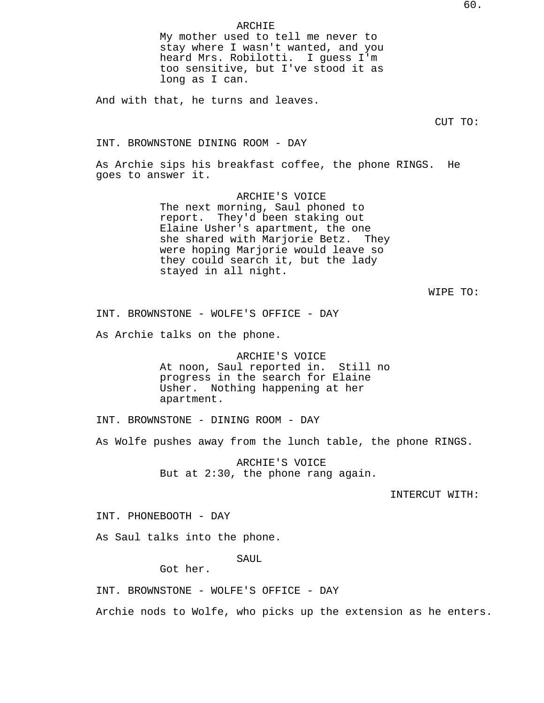## ARCHIE

My mother used to tell me never to stay where I wasn't wanted, and you heard Mrs. Robilotti. I guess I'm too sensitive, but I've stood it as long as I can.

And with that, he turns and leaves.

CUT TO:

INT. BROWNSTONE DINING ROOM - DAY

As Archie sips his breakfast coffee, the phone RINGS. He goes to answer it.

> ARCHIE'S VOICE The next morning, Saul phoned to report. They'd been staking out Elaine Usher's apartment, the one she shared with Marjorie Betz. They were hoping Marjorie would leave so they could search it, but the lady stayed in all night.

> > WIPE TO:

INT. BROWNSTONE - WOLFE'S OFFICE - DAY

As Archie talks on the phone.

ARCHIE'S VOICE At noon, Saul reported in. Still no progress in the search for Elaine Usher. Nothing happening at her apartment.

INT. BROWNSTONE - DINING ROOM - DAY

As Wolfe pushes away from the lunch table, the phone RINGS.

ARCHIE'S VOICE But at 2:30, the phone rang again.

INTERCUT WITH:

INT. PHONEBOOTH - DAY

As Saul talks into the phone.

SAUL

Got her.

INT. BROWNSTONE - WOLFE'S OFFICE - DAY

Archie nods to Wolfe, who picks up the extension as he enters.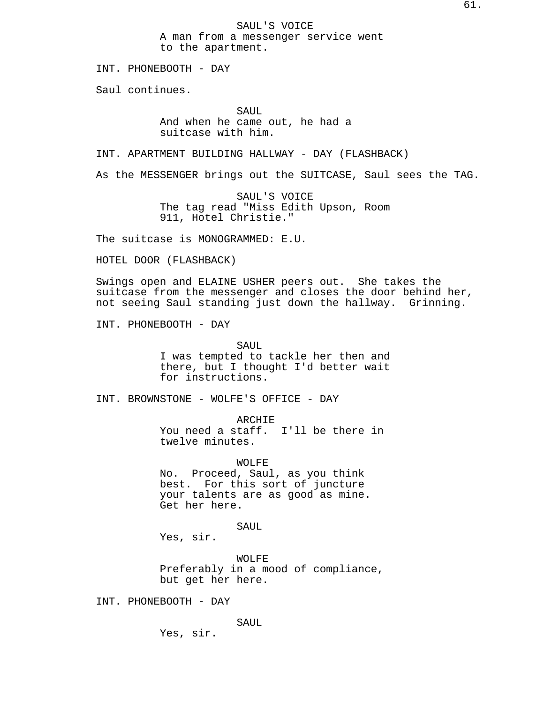SAUL'S VOICE A man from a messenger service went to the apartment.

INT. PHONEBOOTH - DAY

Saul continues.

SAUL And when he came out, he had a suitcase with him.

INT. APARTMENT BUILDING HALLWAY - DAY (FLASHBACK)

As the MESSENGER brings out the SUITCASE, Saul sees the TAG.

SAUL'S VOICE The tag read "Miss Edith Upson, Room 911, Hotel Christie."

The suitcase is MONOGRAMMED: E.U.

HOTEL DOOR (FLASHBACK)

Swings open and ELAINE USHER peers out. She takes the suitcase from the messenger and closes the door behind her, not seeing Saul standing just down the hallway. Grinning.

INT. PHONEBOOTH - DAY

SAUL I was tempted to tackle her then and there, but I thought I'd better wait for instructions.

INT. BROWNSTONE - WOLFE'S OFFICE - DAY

ARCHIE You need a staff. I'll be there in twelve minutes.

WOLFE No. Proceed, Saul, as you think best. For this sort of juncture your talents are as good as mine. Get her here.

SAUL

Yes, sir.

WOLFE Preferably in a mood of compliance, but get her here.

INT. PHONEBOOTH - DAY

SAUL

Yes, sir.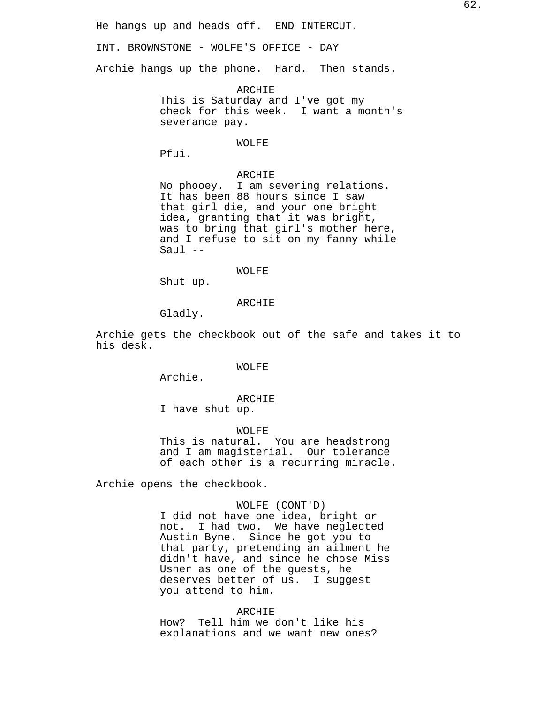He hangs up and heads off. END INTERCUT.

INT. BROWNSTONE - WOLFE'S OFFICE - DAY

Archie hangs up the phone. Hard. Then stands.

ARCHIE This is Saturday and I've got my check for this week. I want a month's severance pay.

## WOLFE

Pfui.

# ARCHIE

No phooey. I am severing relations. It has been 88 hours since I saw that girl die, and your one bright idea, granting that it was bright, was to bring that girl's mother here, and I refuse to sit on my fanny while Saul --

#### WOLFE

Shut up.

## ARCHIE

Gladly.

Archie gets the checkbook out of the safe and takes it to his desk.

WOLFE

Archie.

# ARCHIE

I have shut up.

WOLFE This is natural. You are headstrong and I am magisterial. Our tolerance of each other is a recurring miracle.

Archie opens the checkbook.

## WOLFE (CONT'D)

I did not have one idea, bright or not. I had two. We have neglected Austin Byne. Since he got you to that party, pretending an ailment he didn't have, and since he chose Miss Usher as one of the guests, he deserves better of us. I suggest you attend to him.

## **ARCHIE**

How? Tell him we don't like his explanations and we want new ones?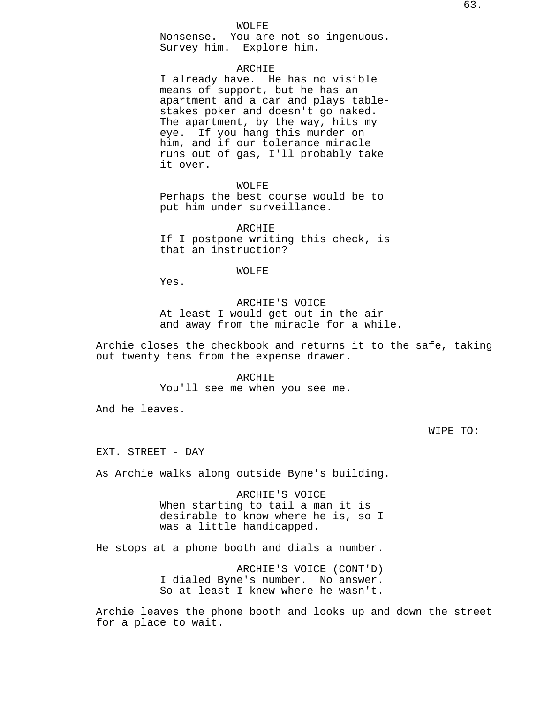Nonsense. You are not so ingenuous. Survey him. Explore him.

## ARCHIE

I already have. He has no visible means of support, but he has an apartment and a car and plays tablestakes poker and doesn't go naked. The apartment, by the way, hits my eye. If you hang this murder on him, and if our tolerance miracle runs out of gas, I'll probably take it over.

WOLFE Perhaps the best course would be to put him under surveillance.

ARCHIE If I postpone writing this check, is that an instruction?

#### WOLFE

Yes.

ARCHIE'S VOICE At least I would get out in the air and away from the miracle for a while.

Archie closes the checkbook and returns it to the safe, taking out twenty tens from the expense drawer.

> ARCHIE You'll see me when you see me.

And he leaves.

WIPE TO:

EXT. STREET - DAY

As Archie walks along outside Byne's building.

ARCHIE'S VOICE When starting to tail a man it is desirable to know where he is, so I was a little handicapped.

He stops at a phone booth and dials a number.

ARCHIE'S VOICE (CONT'D) I dialed Byne's number. No answer. So at least I knew where he wasn't.

Archie leaves the phone booth and looks up and down the street for a place to wait.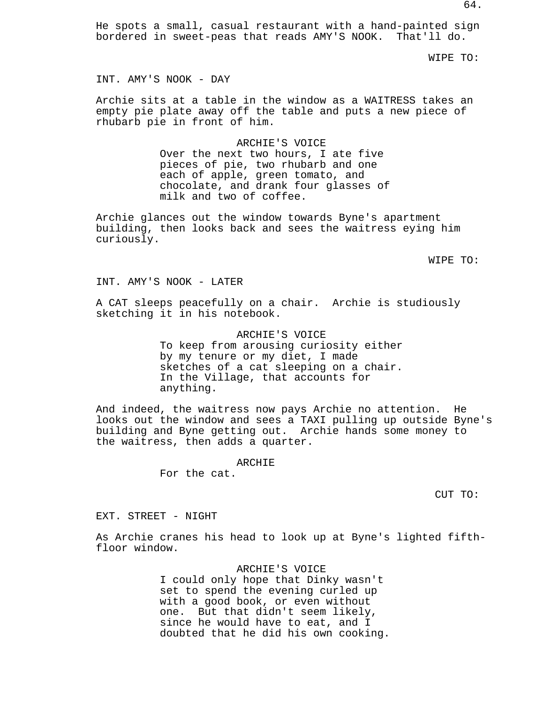He spots a small, casual restaurant with a hand-painted sign bordered in sweet-peas that reads AMY'S NOOK. That'll do.

WIPE TO:

INT. AMY'S NOOK - DAY

Archie sits at a table in the window as a WAITRESS takes an empty pie plate away off the table and puts a new piece of rhubarb pie in front of him.

#### ARCHIE'S VOICE

Over the next two hours, I ate five pieces of pie, two rhubarb and one each of apple, green tomato, and chocolate, and drank four glasses of milk and two of coffee.

Archie glances out the window towards Byne's apartment building, then looks back and sees the waitress eying him curiously.

WIPE TO:

INT. AMY'S NOOK - LATER

A CAT sleeps peacefully on a chair. Archie is studiously sketching it in his notebook.

> ARCHIE'S VOICE To keep from arousing curiosity either by my tenure or my diet, I made sketches of a cat sleeping on a chair. In the Village, that accounts for anything.

And indeed, the waitress now pays Archie no attention. He looks out the window and sees a TAXI pulling up outside Byne's building and Byne getting out. Archie hands some money to the waitress, then adds a quarter.

ARCHIE

For the cat.

CUT TO:

EXT. STREET - NIGHT

As Archie cranes his head to look up at Byne's lighted fifthfloor window.

> ARCHIE'S VOICE I could only hope that Dinky wasn't set to spend the evening curled up with a good book, or even without one. But that didn't seem likely, since he would have to eat, and I doubted that he did his own cooking.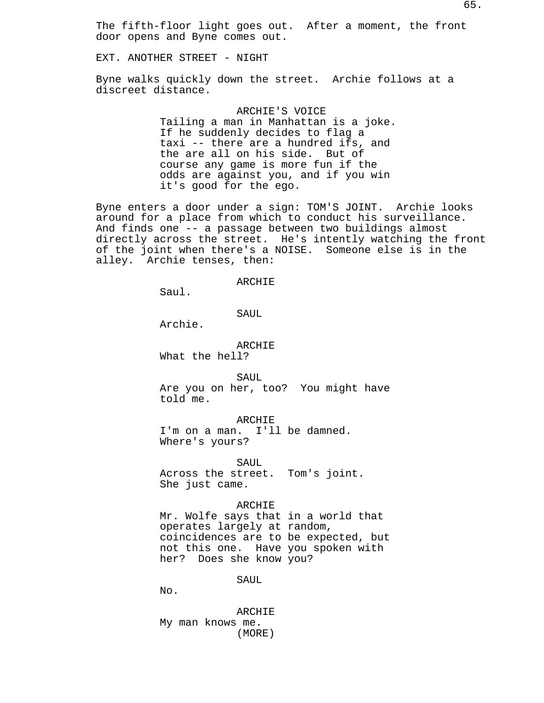The fifth-floor light goes out. After a moment, the front door opens and Byne comes out.

EXT. ANOTHER STREET - NIGHT

Byne walks quickly down the street. Archie follows at a discreet distance.

> ARCHIE'S VOICE Tailing a man in Manhattan is a joke. If he suddenly decides to flag a taxi -- there are a hundred ifs, and the are all on his side. But of course any game is more fun if the odds are against you, and if you win it's good for the ego.

Byne enters a door under a sign: TOM'S JOINT. Archie looks around for a place from which to conduct his surveillance. And finds one -- a passage between two buildings almost directly across the street. He's intently watching the front of the joint when there's a NOISE. Someone else is in the alley. Archie tenses, then:

### ARCHIE

Saul.

## SAUL

Archie.

## ARCHIE

What the hell?

SAUL Are you on her, too? You might have told me.

ARCHIE

I'm on a man. I'll be damned. Where's yours?

SAUL Across the street. Tom's joint. She just came.

## ARCHIE

Mr. Wolfe says that in a world that operates largely at random, coincidences are to be expected, but not this one. Have you spoken with her? Does she know you?

SAUL

No.

ARCHIE My man knows me. (MORE)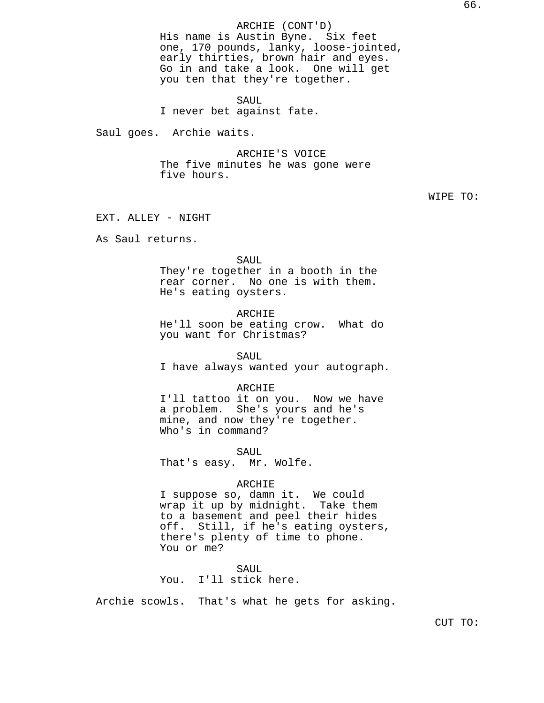# ARCHIE (CONT'D)

His name is Austin Byne. Six feet one, 170 pounds, lanky, loose-jointed, early thirties, brown hair and eyes. Go in and take a look. One will get you ten that they're together.

SAUL I never bet against fate.

Saul goes. Archie waits.

ARCHIE'S VOICE The five minutes he was gone were five hours.

WIPE TO:

EXT. ALLEY - NIGHT

As Saul returns.

SAUL They're together in a booth in the rear corner. No one is with them. He's eating oysters.

## ARCHIE

He'll soon be eating crow. What do you want for Christmas?

SAUL I have always wanted your autograph.

### ARCHIE

I'll tattoo it on you. Now we have a problem. She's yours and he's mine, and now they're together. Who's in command?

SAUL That's easy. Mr. Wolfe.

### ARCHIE

I suppose so, damn it. We could wrap it up by midnight. Take them to a basement and peel their hides off. Still, if he's eating oysters, there's plenty of time to phone. You or me?

SAUL You. I'll stick here.

Archie scowls. That's what he gets for asking.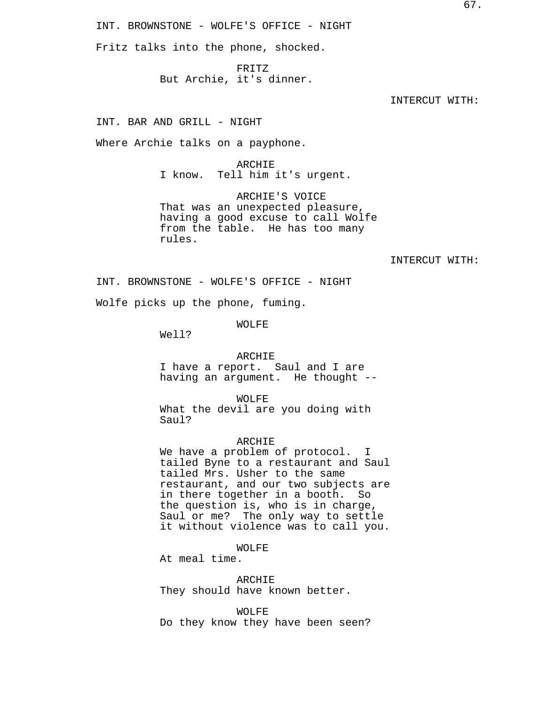INT. BROWNSTONE - WOLFE'S OFFICE - NIGHT

Fritz talks into the phone, shocked.

FRITZ But Archie, it's dinner.

INTERCUT WITH:

INT. BAR AND GRILL - NIGHT

Where Archie talks on a payphone.

ARCHIE I know. Tell him it's urgent.

ARCHIE'S VOICE That was an unexpected pleasure, having a good excuse to call Wolfe from the table. He has too many rules.

INTERCUT WITH:

INT. BROWNSTONE - WOLFE'S OFFICE - NIGHT

Wolfe picks up the phone, fuming.

WOLFE

Well?

## ARCHIE

I have a report. Saul and I are having an argument. He thought --

WOLFE

What the devil are you doing with Saul?

## ARCHIE

We have a problem of protocol. I tailed Byne to a restaurant and Saul tailed Mrs. Usher to the same restaurant, and our two subjects are in there together in a booth. So the question is, who is in charge, Saul or me? The only way to settle it without violence was to call you.

WOLFE

At meal time.

ARCHIE They should have known better.

WOLFE Do they know they have been seen?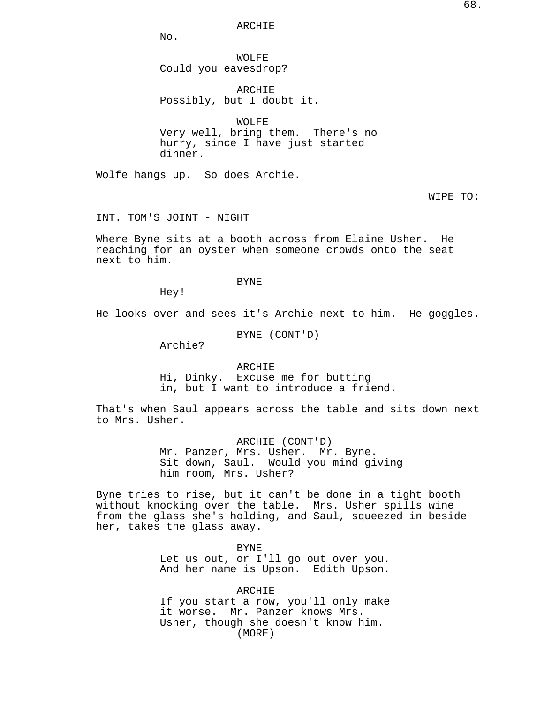ARCHIE

No.

WOLFE Could you eavesdrop?

ARCHIE Possibly, but I doubt it.

WOLFE Very well, bring them. There's no

hurry, since I have just started dinner.

Wolfe hangs up. So does Archie.

WIPE TO:

INT. TOM'S JOINT - NIGHT

Where Byne sits at a booth across from Elaine Usher. He reaching for an oyster when someone crowds onto the seat next to him.

BYNE

Hey!

He looks over and sees it's Archie next to him. He goggles.

BYNE (CONT'D)

Archie?

ARCHIE Hi, Dinky. Excuse me for butting in, but I want to introduce a friend.

That's when Saul appears across the table and sits down next to Mrs. Usher.

> ARCHIE (CONT'D) Mr. Panzer, Mrs. Usher. Mr. Byne. Sit down, Saul. Would you mind giving him room, Mrs. Usher?

Byne tries to rise, but it can't be done in a tight booth without knocking over the table. Mrs. Usher spills wine from the glass she's holding, and Saul, squeezed in beside her, takes the glass away.

> BYNE Let us out, or I'll go out over you. And her name is Upson. Edith Upson.

> ARCHIE If you start a row, you'll only make it worse. Mr. Panzer knows Mrs. Usher, though she doesn't know him. (MORE)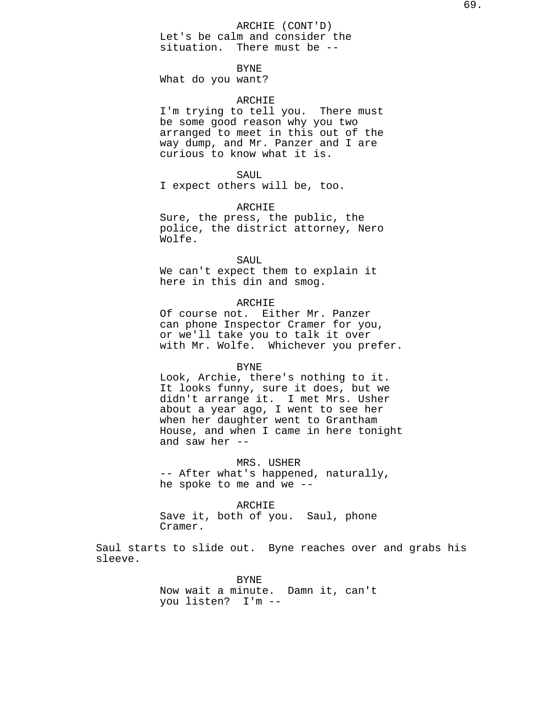ARCHIE (CONT'D)

Let's be calm and consider the situation. There must be --

# BYNE

What do you want?

# ARCHIE

I'm trying to tell you. There must be some good reason why you two arranged to meet in this out of the way dump, and Mr. Panzer and I are curious to know what it is.

#### SAUL

I expect others will be, too.

## ARCHIE

Sure, the press, the public, the police, the district attorney, Nero Wolfe.

#### SAUL

We can't expect them to explain it here in this din and smog.

# ARCHIE

Of course not. Either Mr. Panzer can phone Inspector Cramer for you, or we'll take you to talk it over with Mr. Wolfe. Whichever you prefer.

#### BYNE

Look, Archie, there's nothing to it. It looks funny, sure it does, but we didn't arrange it. I met Mrs. Usher about a year ago, I went to see her when her daughter went to Grantham House, and when I came in here tonight and saw her --

MRS. USHER -- After what's happened, naturally, he spoke to me and we --

### ARCHIE

Save it, both of you. Saul, phone Cramer.

Saul starts to slide out. Byne reaches over and grabs his sleeve.

> BYNE Now wait a minute. Damn it, can't you listen? I'm --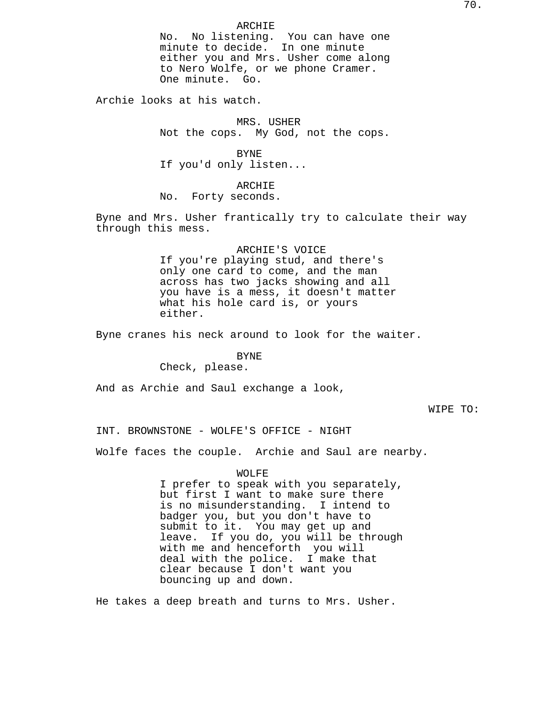No. No listening. You can have one minute to decide. In one minute either you and Mrs. Usher come along to Nero Wolfe, or we phone Cramer. One minute. Go.

Archie looks at his watch.

MRS. USHER Not the cops. My God, not the cops.

BYNE If you'd only listen...

ARCHIE No. Forty seconds.

Byne and Mrs. Usher frantically try to calculate their way through this mess.

> ARCHIE'S VOICE If you're playing stud, and there's only one card to come, and the man across has two jacks showing and all you have is a mess, it doesn't matter what his hole card is, or yours either.

Byne cranes his neck around to look for the waiter.

# BYNE

Check, please.

And as Archie and Saul exchange a look,

WIPE TO:

INT. BROWNSTONE - WOLFE'S OFFICE - NIGHT

Wolfe faces the couple. Archie and Saul are nearby.

WOLFE

I prefer to speak with you separately, but first I want to make sure there is no misunderstanding. I intend to badger you, but you don't have to submit to it. You may get up and leave. If you do, you will be through with me and henceforth you will deal with the police. I make that clear because I don't want you bouncing up and down.

He takes a deep breath and turns to Mrs. Usher.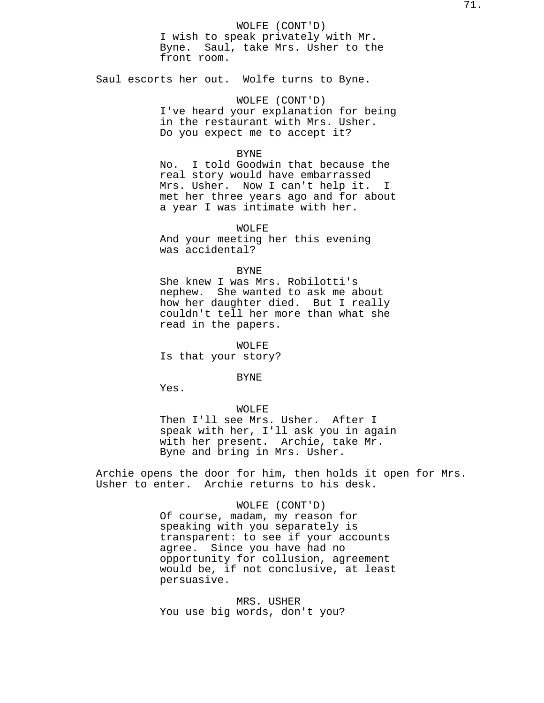WOLFE (CONT'D) I wish to speak privately with Mr. Byne. Saul, take Mrs. Usher to the front room.

Saul escorts her out. Wolfe turns to Byne.

WOLFE (CONT'D) I've heard your explanation for being in the restaurant with Mrs. Usher. Do you expect me to accept it?

### BYNE

No. I told Goodwin that because the real story would have embarrassed Mrs. Usher. Now I can't help it. I met her three years ago and for about a year I was intimate with her.

WOLFE And your meeting her this evening was accidental?

#### BYNE

She knew I was Mrs. Robilotti's nephew. She wanted to ask me about how her daughter died. But I really couldn't tell her more than what she read in the papers.

WOLFE Is that your story?

BYNE

Yes.

## WOLFE

Then I'll see Mrs. Usher. After I speak with her, I'll ask you in again with her present. Archie, take Mr. Byne and bring in Mrs. Usher.

Archie opens the door for him, then holds it open for Mrs. Usher to enter. Archie returns to his desk.

### WOLFE (CONT'D)

Of course, madam, my reason for speaking with you separately is transparent: to see if your accounts agree. Since you have had no opportunity for collusion, agreement would be, if not conclusive, at least persuasive.

MRS. USHER You use big words, don't you?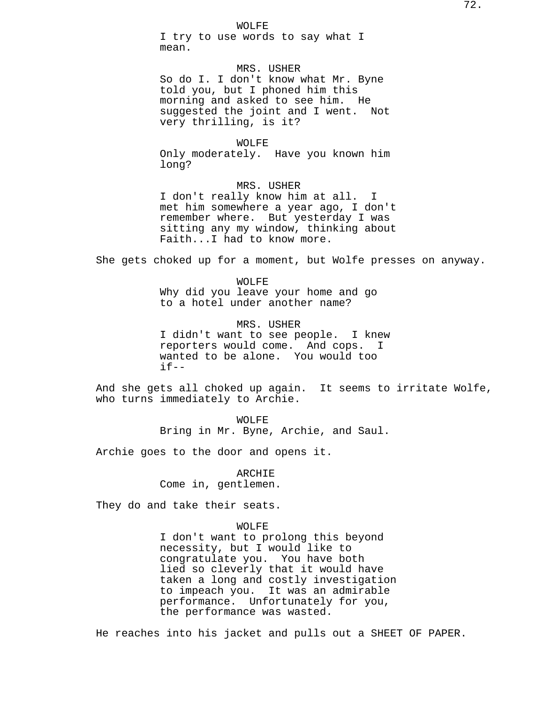WOLFE

I try to use words to say what I mean.

MRS. USHER So do I. I don't know what Mr. Byne told you, but I phoned him this morning and asked to see him. He suggested the joint and I went. Not very thrilling, is it?

WOLFE

Only moderately. Have you known him long?

MRS. USHER

I don't really know him at all. I met him somewhere a year ago, I don't remember where. But yesterday I was sitting any my window, thinking about Faith...I had to know more.

She gets choked up for a moment, but Wolfe presses on anyway.

WOLFE Why did you leave your home and go to a hotel under another name?

MRS. USHER I didn't want to see people. I knew reporters would come. And cops. I wanted to be alone. You would too  $if--$ 

And she gets all choked up again. It seems to irritate Wolfe, who turns immediately to Archie.

> WOLFE Bring in Mr. Byne, Archie, and Saul.

Archie goes to the door and opens it.

ARCHIE

Come in, gentlemen.

They do and take their seats.

#### WOLFE

I don't want to prolong this beyond necessity, but I would like to congratulate you. You have both lied so cleverly that it would have taken a long and costly investigation to impeach you. It was an admirable performance. Unfortunately for you, the performance was wasted.

He reaches into his jacket and pulls out a SHEET OF PAPER.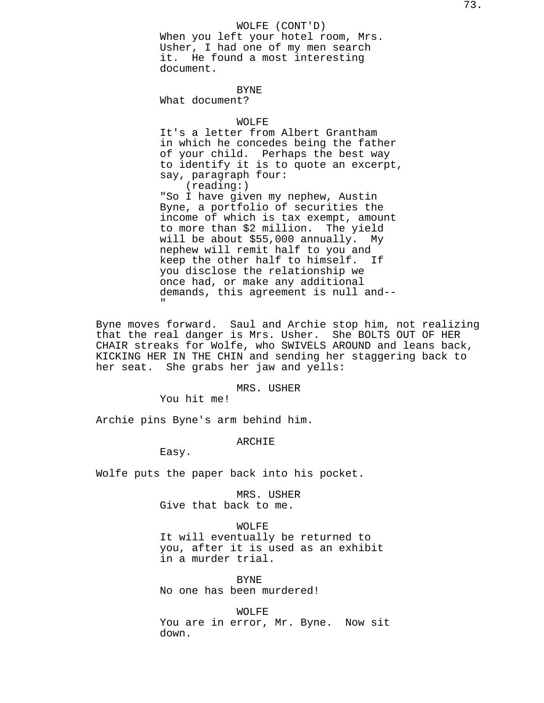WOLFE (CONT'D) When you left your hotel room, Mrs. Usher, I had one of my men search it. He found a most interesting document.

BYNE

What document?

# WOLFE

It's a letter from Albert Grantham in which he concedes being the father of your child. Perhaps the best way to identify it is to quote an excerpt, say, paragraph four: (reading:)

"So I have given my nephew, Austin Byne, a portfolio of securities the income of which is tax exempt, amount to more than \$2 million. The yield will be about \$55,000 annually. My nephew will remit half to you and keep the other half to himself. If you disclose the relationship we once had, or make any additional demands, this agreement is null and-- "

Byne moves forward. Saul and Archie stop him, not realizing that the real danger is Mrs. Usher. She BOLTS OUT OF HER CHAIR streaks for Wolfe, who SWIVELS AROUND and leans back, KICKING HER IN THE CHIN and sending her staggering back to her seat. She grabs her jaw and yells:

### MRS. USHER

You hit me!

Archie pins Byne's arm behind him.

ARCHIE

Easy.

Wolfe puts the paper back into his pocket.

MRS. USHER

Give that back to me.

# WOLFE

It will eventually be returned to you, after it is used as an exhibit in a murder trial.

BYNE No one has been murdered!

WOLFE You are in error, Mr. Byne. Now sit down.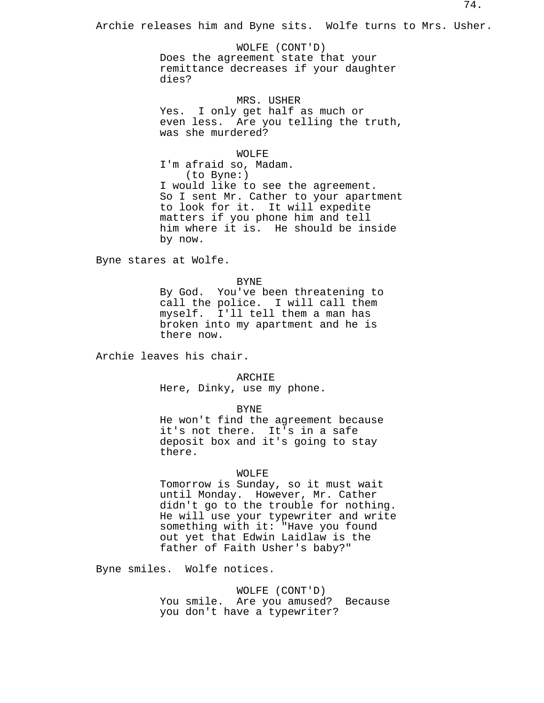Archie releases him and Byne sits. Wolfe turns to Mrs. Usher.

WOLFE (CONT'D) Does the agreement state that your remittance decreases if your daughter dies?

MRS. USHER Yes. I only get half as much or even less. Are you telling the truth, was she murdered?

WOLFE

I'm afraid so, Madam. (to Byne:) I would like to see the agreement. So I sent Mr. Cather to your apartment to look for it. It will expedite matters if you phone him and tell him where it is. He should be inside by now.

Byne stares at Wolfe.

BYNE

By God. You've been threatening to call the police. I will call them myself. I'll tell them a man has broken into my apartment and he is there now.

Archie leaves his chair.

ARCHIE

Here, Dinky, use my phone.

BYNE

He won't find the agreement because it's not there. It's in a safe deposit box and it's going to stay there.

# WOLFE

Tomorrow is Sunday, so it must wait until Monday. However, Mr. Cather didn't go to the trouble for nothing. He will use your typewriter and write something with it: "Have you found out yet that Edwin Laidlaw is the father of Faith Usher's baby?"

Byne smiles. Wolfe notices.

## WOLFE (CONT'D)

You smile. Are you amused? Because you don't have a typewriter?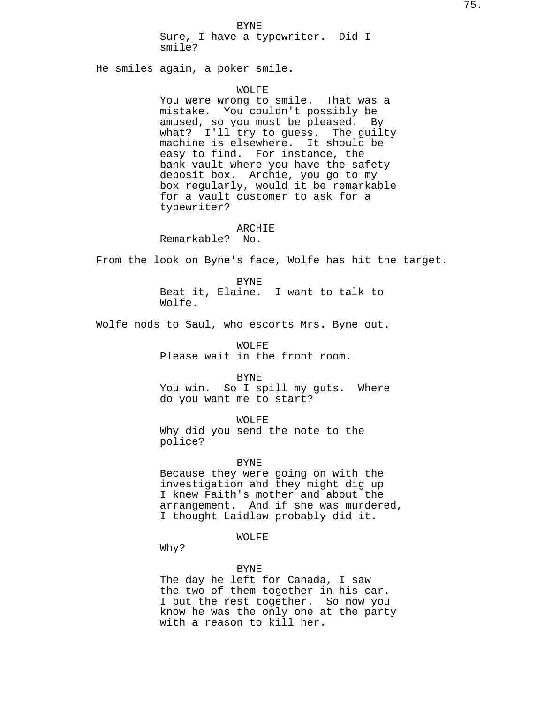BYNE

Sure, I have a typewriter. Did I smile?

He smiles again, a poker smile.

#### WOLFE

You were wrong to smile. That was a mistake. You couldn't possibly be amused, so you must be pleased. By what? I'll try to guess. The guilty machine is elsewhere. It should be easy to find. For instance, the bank vault where you have the safety deposit box. Archie, you go to my box regularly, would it be remarkable for a vault customer to ask for a typewriter?

### ARCHIE

Remarkable? No.

From the look on Byne's face, Wolfe has hit the target.

BYNE Beat it, Elaine. I want to talk to Wolfe.

Wolfe nods to Saul, who escorts Mrs. Byne out.

WOLFE Please wait in the front room.

BYNE

You win. So I spill my guts. Where do you want me to start?

WOLFE

Why did you send the note to the police?

### BYNE

Because they were going on with the investigation and they might dig up I knew Faith's mother and about the arrangement. And if she was murdered, I thought Laidlaw probably did it.

# WOLFE

Why?

### BYNE

The day he left for Canada, I saw the two of them together in his car. I put the rest together. So now you know he was the only one at the party with a reason to kill her.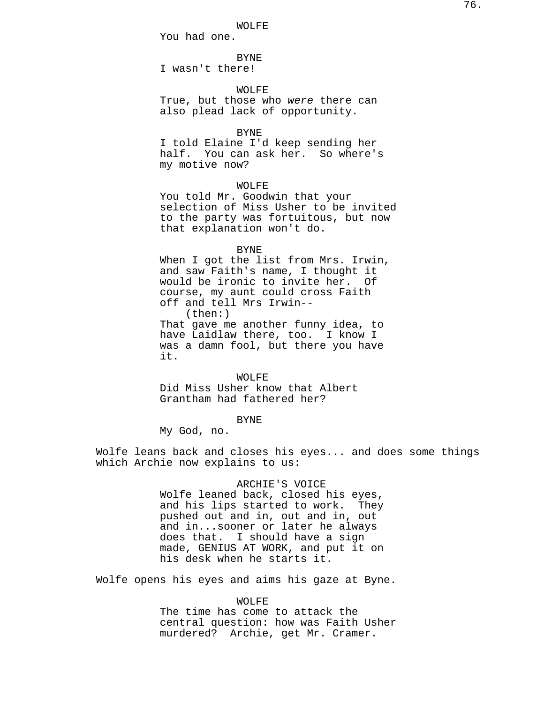WOLFE

You had one.

BYNE

I wasn't there!

WOLFE

True, but those who were there can also plead lack of opportunity.

BYNE

I told Elaine I'd keep sending her half. You can ask her. So where's my motive now?

# WOLFE

You told Mr. Goodwin that your selection of Miss Usher to be invited to the party was fortuitous, but now that explanation won't do.

#### BYNE

When I got the list from Mrs. Irwin, and saw Faith's name, I thought it would be ironic to invite her. Of course, my aunt could cross Faith off and tell Mrs Irwin-- (then:) That gave me another funny idea, to have Laidlaw there, too. I know I was a damn fool, but there you have it.

WOLFE Did Miss Usher know that Albert Grantham had fathered her?

# BYNE

My God, no.

Wolfe leans back and closes his eyes... and does some things which Archie now explains to us:

# ARCHIE'S VOICE

Wolfe leaned back, closed his eyes, and his lips started to work. They pushed out and in, out and in, out and in...sooner or later he always does that. I should have a sign made, GENIUS AT WORK, and put it on his desk when he starts it.

Wolfe opens his eyes and aims his gaze at Byne.

#### WOLFE

The time has come to attack the central question: how was Faith Usher murdered? Archie, get Mr. Cramer.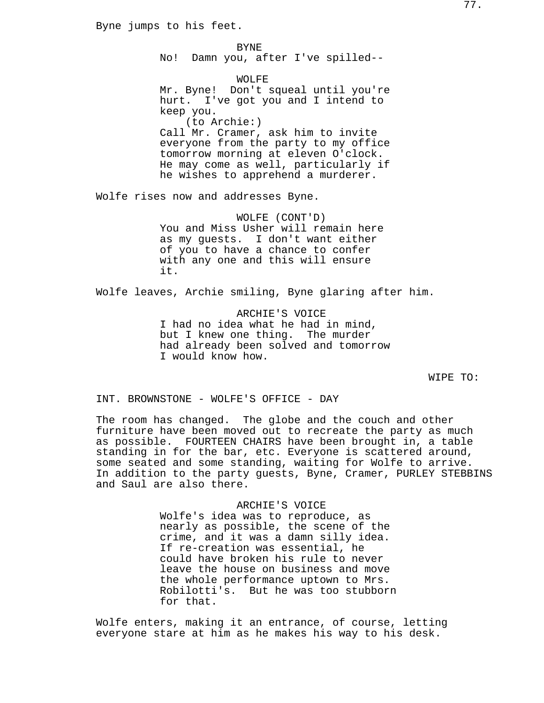Byne jumps to his feet.

No! Damn you, after I've spilled--

BYNE

WOLFE Mr. Byne! Don't squeal until you're hurt. I've got you and I intend to keep you. (to Archie:) Call Mr. Cramer, ask him to invite everyone from the party to my office tomorrow morning at eleven O'clock. He may come as well, particularly if he wishes to apprehend a murderer.

Wolfe rises now and addresses Byne.

WOLFE (CONT'D) You and Miss Usher will remain here as my guests. I don't want either of you to have a chance to confer with any one and this will ensure it.

Wolfe leaves, Archie smiling, Byne glaring after him.

ARCHIE'S VOICE I had no idea what he had in mind, but I knew one thing. The murder had already been solved and tomorrow I would know how.

WIPE TO:

INT. BROWNSTONE - WOLFE'S OFFICE - DAY

The room has changed. The globe and the couch and other furniture have been moved out to recreate the party as much as possible. FOURTEEN CHAIRS have been brought in, a table standing in for the bar, etc. Everyone is scattered around, some seated and some standing, waiting for Wolfe to arrive. In addition to the party guests, Byne, Cramer, PURLEY STEBBINS and Saul are also there.

> ARCHIE'S VOICE Wolfe's idea was to reproduce, as nearly as possible, the scene of the crime, and it was a damn silly idea. If re-creation was essential, he could have broken his rule to never leave the house on business and move the whole performance uptown to Mrs. Robilotti's. But he was too stubborn for that.

Wolfe enters, making it an entrance, of course, letting everyone stare at him as he makes his way to his desk.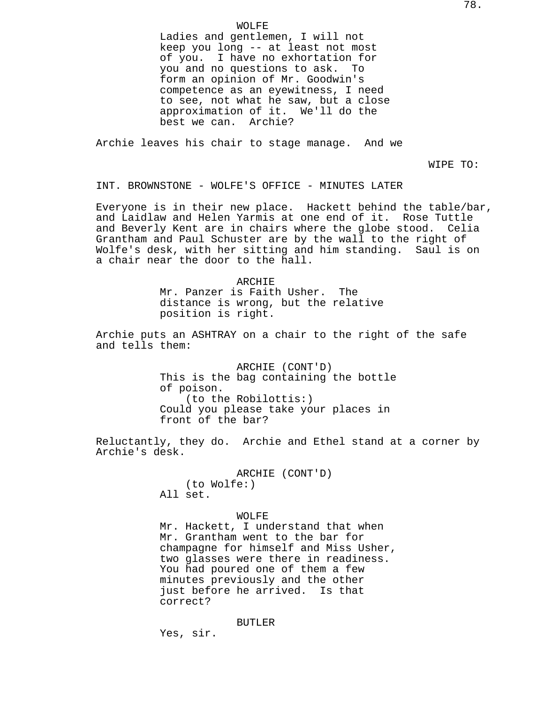Ladies and gentlemen, I will not keep you long -- at least not most of you. I have no exhortation for you and no questions to ask. To form an opinion of Mr. Goodwin's competence as an eyewitness, I need to see, not what he saw, but a close approximation of it. We'll do the best we can. Archie?

Archie leaves his chair to stage manage. And we

WIPE TO:

INT. BROWNSTONE - WOLFE'S OFFICE - MINUTES LATER

Everyone is in their new place. Hackett behind the table/bar, and Laidlaw and Helen Yarmis at one end of it. Rose Tuttle and Beverly Kent are in chairs where the globe stood. Celia Grantham and Paul Schuster are by the wall to the right of Wolfe's desk, with her sitting and him standing. Saul is on a chair near the door to the hall.

> ARCHIE Mr. Panzer is Faith Usher. The distance is wrong, but the relative position is right.

Archie puts an ASHTRAY on a chair to the right of the safe and tells them:

> ARCHIE (CONT'D) This is the bag containing the bottle of poison. (to the Robilottis:) Could you please take your places in front of the bar?

Reluctantly, they do. Archie and Ethel stand at a corner by Archie's desk.

> ARCHIE (CONT'D) (to Wolfe:) All set.

WOLFE Mr. Hackett, I understand that when Mr. Grantham went to the bar for champagne for himself and Miss Usher, two glasses were there in readiness. You had poured one of them a few minutes previously and the other just before he arrived. Is that correct?

BUTLER

Yes, sir.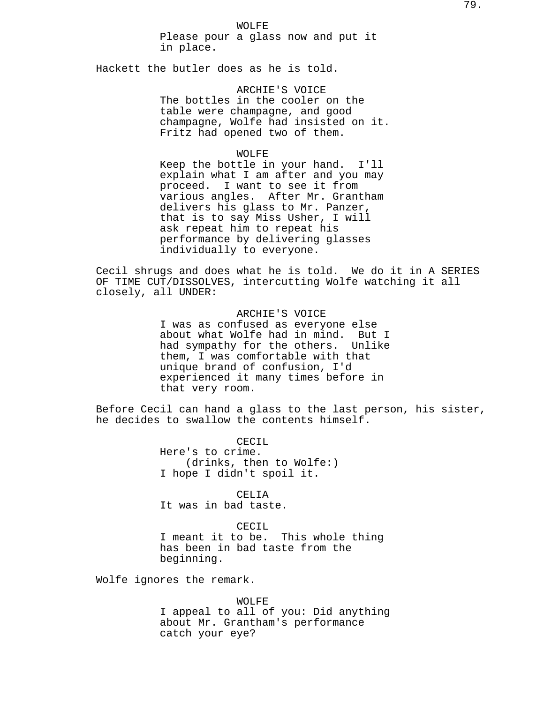WOLFE Please pour a glass now and put it in place.

Hackett the butler does as he is told.

ARCHIE'S VOICE The bottles in the cooler on the table were champagne, and good champagne, Wolfe had insisted on it. Fritz had opened two of them.

### WOLFE

Keep the bottle in your hand. I'll explain what I am after and you may proceed. I want to see it from various angles. After Mr. Grantham delivers his glass to Mr. Panzer, that is to say Miss Usher, I will ask repeat him to repeat his performance by delivering glasses individually to everyone.

Cecil shrugs and does what he is told. We do it in A SERIES OF TIME CUT/DISSOLVES, intercutting Wolfe watching it all closely, all UNDER:

> ARCHIE'S VOICE I was as confused as everyone else about what Wolfe had in mind. But I had sympathy for the others. Unlike them, I was comfortable with that unique brand of confusion, I'd experienced it many times before in that very room.

Before Cecil can hand a glass to the last person, his sister, he decides to swallow the contents himself.

> CECTL Here's to crime. (drinks, then to Wolfe:) I hope I didn't spoil it.

> > CELIA

It was in bad taste.

CECIL

I meant it to be. This whole thing has been in bad taste from the beginning.

Wolfe ignores the remark.

WOLFE I appeal to all of you: Did anything about Mr. Grantham's performance catch your eye?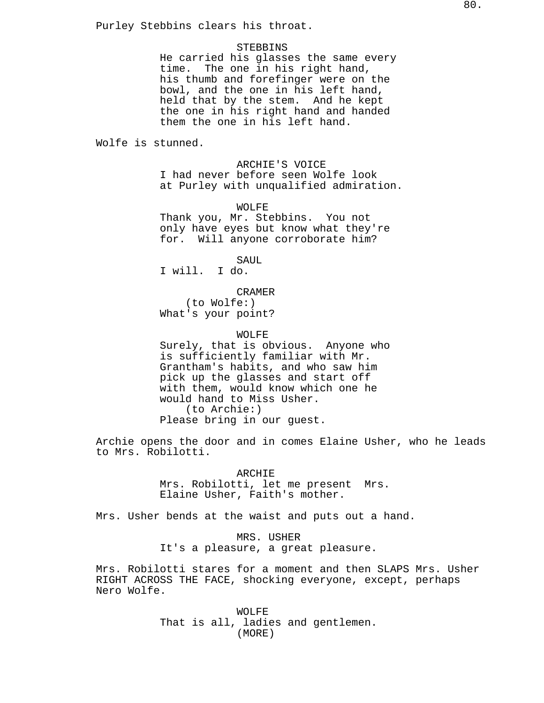Purley Stebbins clears his throat.

### **STEBBINS**

He carried his glasses the same every time. The one in his right hand, his thumb and forefinger were on the bowl, and the one in his left hand, held that by the stem. And he kept the one in his right hand and handed them the one in his left hand.

Wolfe is stunned.

ARCHIE'S VOICE I had never before seen Wolfe look at Purley with unqualified admiration.

WOLFE

Thank you, Mr. Stebbins. You not only have eyes but know what they're for. Will anyone corroborate him?

SAUL

I will. I do.

CRAMER (to Wolfe:) What's your point?

WOLFE

Surely, that is obvious. Anyone who is sufficiently familiar with Mr. Grantham's habits, and who saw him pick up the glasses and start off with them, would know which one he would hand to Miss Usher. (to Archie:) Please bring in our guest.

Archie opens the door and in comes Elaine Usher, who he leads to Mrs. Robilotti.

> ARCHIE Mrs. Robilotti, let me present Mrs. Elaine Usher, Faith's mother.

Mrs. Usher bends at the waist and puts out a hand.

MRS. USHER It's a pleasure, a great pleasure.

Mrs. Robilotti stares for a moment and then SLAPS Mrs. Usher RIGHT ACROSS THE FACE, shocking everyone, except, perhaps Nero Wolfe.

> WOLFE That is all, ladies and gentlemen. (MORE)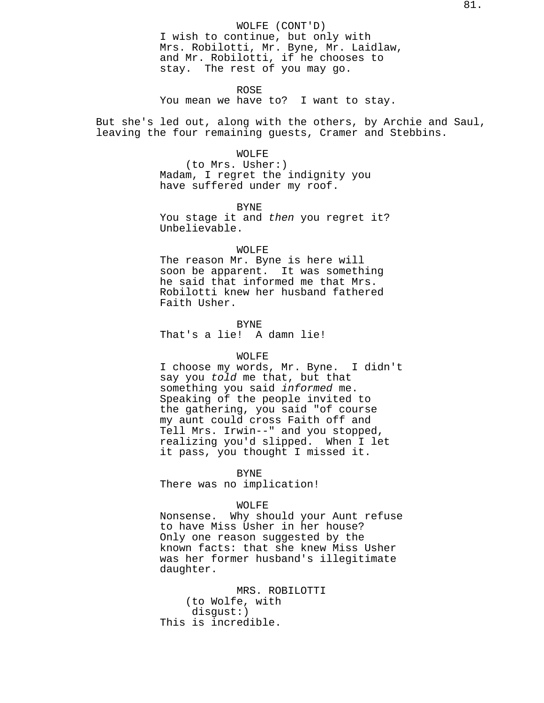ROSE

You mean we have to? I want to stay.

But she's led out, along with the others, by Archie and Saul, leaving the four remaining guests, Cramer and Stebbins.

### WOLFE

(to Mrs. Usher:) Madam, I regret the indignity you have suffered under my roof.

BYNE

You stage it and then you regret it? Unbelievable.

# WOLFE

The reason Mr. Byne is here will soon be apparent. It was something he said that informed me that Mrs. Robilotti knew her husband fathered Faith Usher.

BYNE That's a lie! A damn lie!

# WOLFE

I choose my words, Mr. Byne. I didn't say you told me that, but that something you said *informed* me. Speaking of the people invited to the gathering, you said "of course my aunt could cross Faith off and Tell Mrs. Irwin--" and you stopped, realizing you'd slipped. When I let it pass, you thought I missed it.

### BYNE

There was no implication!

### WOLFE

Nonsense. Why should your Aunt refuse to have Miss Usher in her house? Only one reason suggested by the known facts: that she knew Miss Usher was her former husband's illegitimate daughter.

MRS. ROBILOTTI (to Wolfe, with disgust:) This is incredible.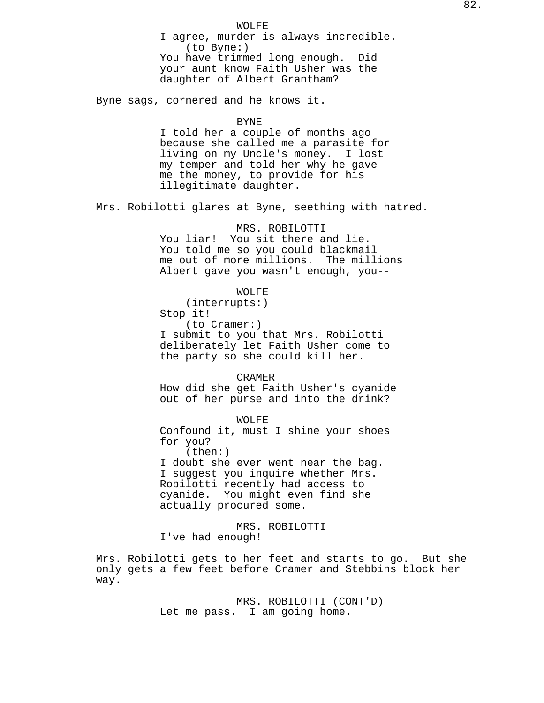WOLFE I agree, murder is always incredible. (to Byne:) You have trimmed long enough. Did your aunt know Faith Usher was the daughter of Albert Grantham?

Byne sags, cornered and he knows it.

### BYNE

I told her a couple of months ago because she called me a parasite for living on my Uncle's money. I lost my temper and told her why he gave me the money, to provide for his illegitimate daughter.

Mrs. Robilotti glares at Byne, seething with hatred.

MRS. ROBILOTTI You liar! You sit there and lie. You told me so you could blackmail me out of more millions. The millions Albert gave you wasn't enough, you--

WOLFE

(interrupts:) Stop it! (to Cramer:) I submit to you that Mrs. Robilotti deliberately let Faith Usher come to the party so she could kill her.

CRAMER

How did she get Faith Usher's cyanide out of her purse and into the drink?

WOLFE Confound it, must I shine your shoes for you? (then:) I doubt she ever went near the bag. I suggest you inquire whether Mrs.

Robilotti recently had access to cyanide. You might even find she actually procured some.

MRS. ROBILOTTI I've had enough!

Mrs. Robilotti gets to her feet and starts to go. But she only gets a few feet before Cramer and Stebbins block her way.

> MRS. ROBILOTTI (CONT'D) Let me pass. I am going home.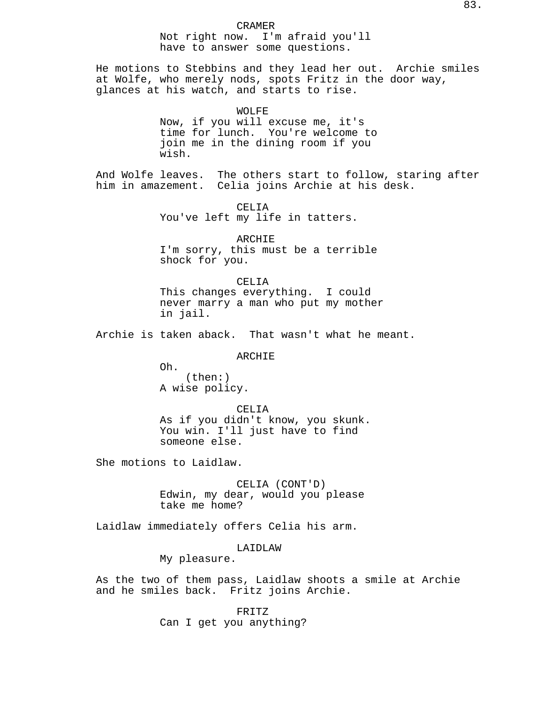#### CRAMER

Not right now. I'm afraid you'll have to answer some questions.

He motions to Stebbins and they lead her out. Archie smiles at Wolfe, who merely nods, spots Fritz in the door way, glances at his watch, and starts to rise.

> WOLFE Now, if you will excuse me, it's time for lunch. You're welcome to join me in the dining room if you wish.

And Wolfe leaves. The others start to follow, staring after him in amazement. Celia joins Archie at his desk.

> CELIA You've left my life in tatters.

ARCHIE I'm sorry, this must be a terrible shock for you.

CELIA This changes everything. I could never marry a man who put my mother in jail.

Archie is taken aback. That wasn't what he meant.

# ARCHIE

Oh. (then:) A wise policy.

CELIA As if you didn't know, you skunk. You win. I'll just have to find someone else.

She motions to Laidlaw.

CELIA (CONT'D) Edwin, my dear, would you please take me home?

Laidlaw immediately offers Celia his arm.

# LAIDLAW

My pleasure.

As the two of them pass, Laidlaw shoots a smile at Archie and he smiles back. Fritz joins Archie.

> FRITZ Can I get you anything?